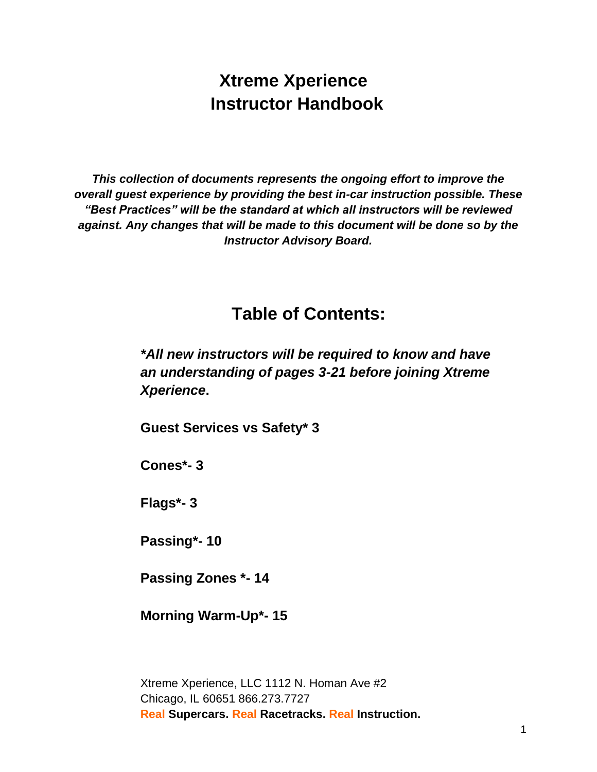# **Xtreme Xperience Instructor Handbook**

*This collection of documents represents the ongoing effort to improve the overall guest experience by providing the best in-car instruction possible. These "Best Practices" will be the standard at which all instructors will be reviewed against. Any changes that will be made to this document will be done so by the Instructor Advisory Board.* 

# **Table of Contents:**

*\*All new instructors will be required to know and have an understanding of pages 3-21 before joining Xtreme Xperience***.**

**Guest Services vs Safety\* 3**

**Cones\*- 3**

**Flags\*- 3**

**Passing\*- 10**

**Passing Zones \*- 14**

**Morning Warm-Up\*- 15**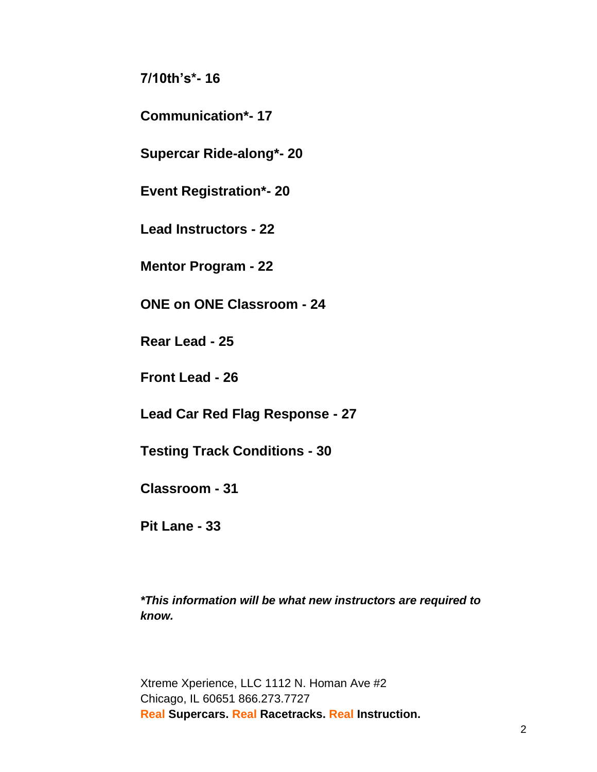**7/10th's\*- 16**

**Communication\*- 17**

**Supercar Ride-along\*- 20**

**Event Registration\*- 20**

**Lead Instructors - 22**

**Mentor Program - 22**

**ONE on ONE Classroom - 24**

**Rear Lead - 25**

**Front Lead - 26**

**Lead Car Red Flag Response - 27**

**Testing Track Conditions - 30**

**Classroom - 31**

**Pit Lane - 33**

*\*This information will be what new instructors are required to know.*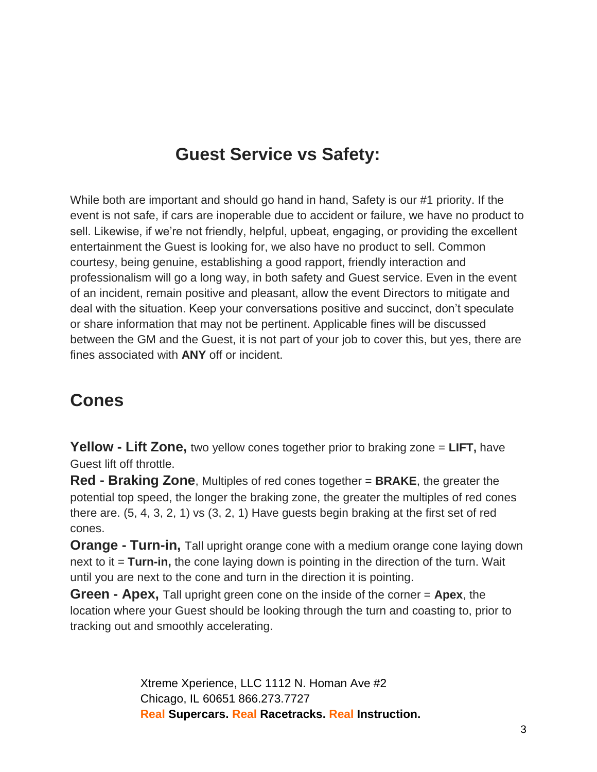# **Guest Service vs Safety:**

While both are important and should go hand in hand, Safety is our #1 priority. If the event is not safe, if cars are inoperable due to accident or failure, we have no product to sell. Likewise, if we're not friendly, helpful, upbeat, engaging, or providing the excellent entertainment the Guest is looking for, we also have no product to sell. Common courtesy, being genuine, establishing a good rapport, friendly interaction and professionalism will go a long way, in both safety and Guest service. Even in the event of an incident, remain positive and pleasant, allow the event Directors to mitigate and deal with the situation. Keep your conversations positive and succinct, don't speculate or share information that may not be pertinent. Applicable fines will be discussed between the GM and the Guest, it is not part of your job to cover this, but yes, there are fines associated with **ANY** off or incident.

# **Cones**

**Yellow - Lift Zone,** two yellow cones together prior to braking zone = **LIFT,** have Guest lift off throttle.

**Red - Braking Zone**, Multiples of red cones together = **BRAKE**, the greater the potential top speed, the longer the braking zone, the greater the multiples of red cones there are. (5, 4, 3, 2, 1) vs (3, 2, 1) Have guests begin braking at the first set of red cones.

**Orange - Turn-in,** Tall upright orange cone with a medium orange cone laying down next to it = **Turn-in,** the cone laying down is pointing in the direction of the turn. Wait until you are next to the cone and turn in the direction it is pointing.

**Green - Apex,** Tall upright green cone on the inside of the corner = **Apex**, the location where your Guest should be looking through the turn and coasting to, prior to tracking out and smoothly accelerating.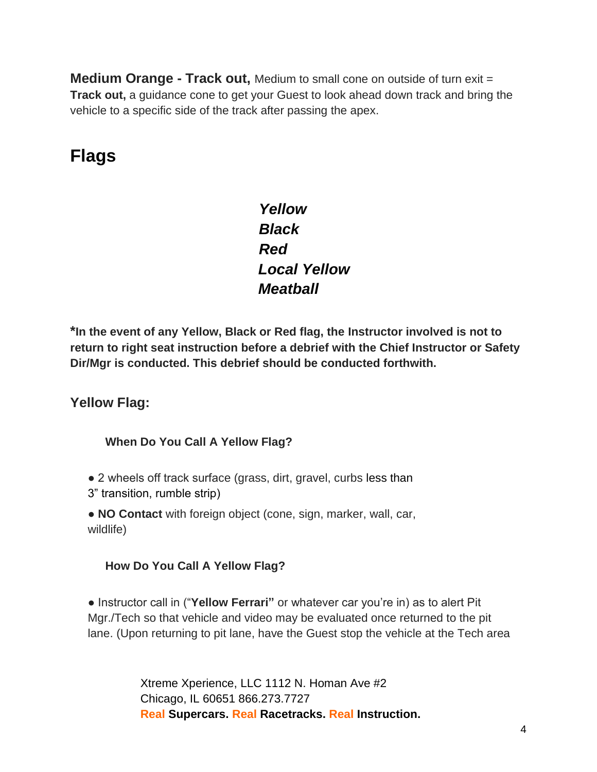**Medium Orange - Track out,** Medium to small cone on outside of turn exit = **Track out,** a guidance cone to get your Guest to look ahead down track and bring the vehicle to a specific side of the track after passing the apex.

# **Flags**

*Yellow Black Red Local Yellow Meatball* 

**\*In the event of any Yellow, Black or Red flag, the Instructor involved is not to return to right seat instruction before a debrief with the Chief Instructor or Safety Dir/Mgr is conducted. This debrief should be conducted forthwith.** 

## **Yellow Flag:**

#### **When Do You Call A Yellow Flag?**

• 2 wheels off track surface (grass, dirt, gravel, curbs less than

3" transition, rumble strip)

● **NO Contact** with foreign object (cone, sign, marker, wall, car, wildlife)

#### **How Do You Call A Yellow Flag?**

● Instructor call in ("**Yellow Ferrari"** or whatever car you're in) as to alert Pit Mgr./Tech so that vehicle and video may be evaluated once returned to the pit lane. (Upon returning to pit lane, have the Guest stop the vehicle at the Tech area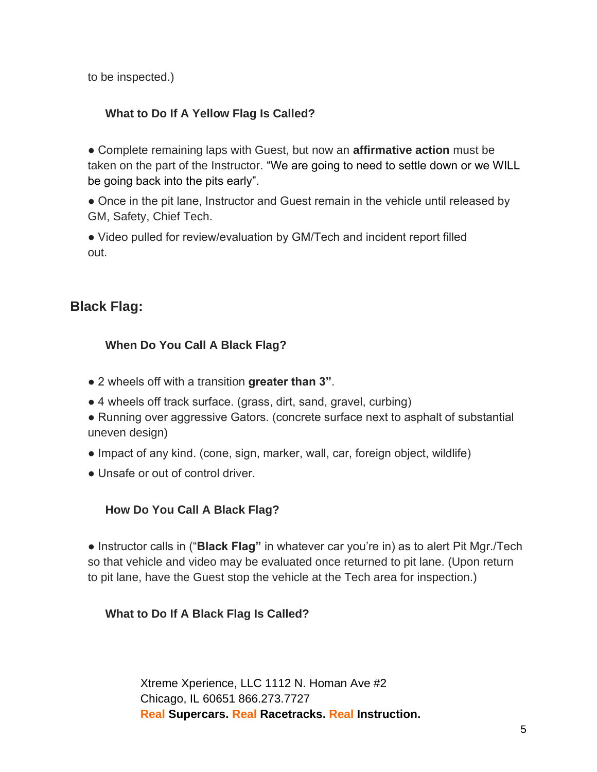to be inspected.)

#### **What to Do If A Yellow Flag Is Called?**

● Complete remaining laps with Guest, but now an **affirmative action** must be taken on the part of the Instructor. "We are going to need to settle down or we WILL be going back into the pits early".

• Once in the pit lane, Instructor and Guest remain in the vehicle until released by GM, Safety, Chief Tech.

• Video pulled for review/evaluation by GM/Tech and incident report filled out.

## **Black Flag:**

#### **When Do You Call A Black Flag?**

- 2 wheels off with a transition **greater than 3"**.
- 4 wheels off track surface. (grass, dirt, sand, gravel, curbing)
- Running over aggressive Gators. (concrete surface next to asphalt of substantial uneven design)
- Impact of any kind. (cone, sign, marker, wall, car, foreign object, wildlife)
- Unsafe or out of control driver.

#### **How Do You Call A Black Flag?**

● Instructor calls in ("**Black Flag"** in whatever car you're in) as to alert Pit Mgr./Tech so that vehicle and video may be evaluated once returned to pit lane. (Upon return to pit lane, have the Guest stop the vehicle at the Tech area for inspection.)

#### **What to Do If A Black Flag Is Called?**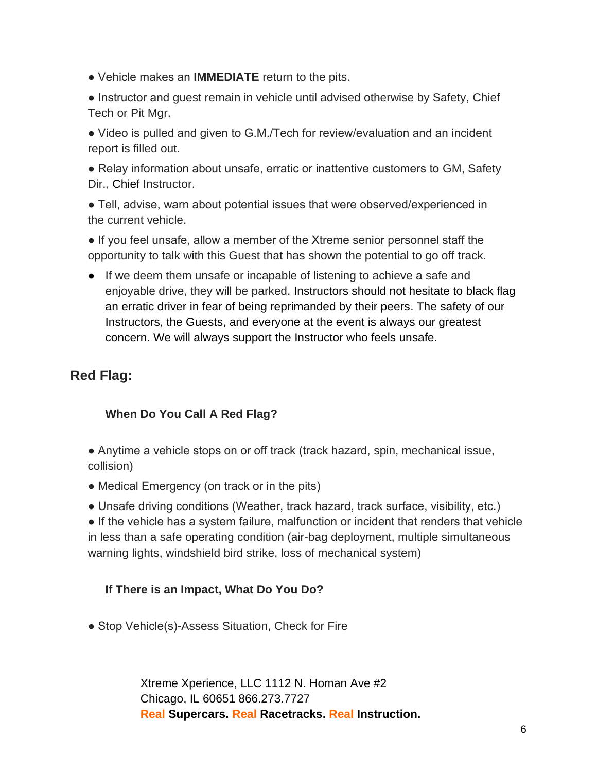● Vehicle makes an **IMMEDIATE** return to the pits.

• Instructor and quest remain in vehicle until advised otherwise by Safety, Chief Tech or Pit Mgr.

• Video is pulled and given to G.M./Tech for review/evaluation and an incident report is filled out.

● Relay information about unsafe, erratic or inattentive customers to GM, Safety Dir., Chief Instructor.

● Tell, advise, warn about potential issues that were observed/experienced in the current vehicle.

● If you feel unsafe, allow a member of the Xtreme senior personnel staff the opportunity to talk with this Guest that has shown the potential to go off track.

● If we deem them unsafe or incapable of listening to achieve a safe and enjoyable drive, they will be parked. Instructors should not hesitate to black flag an erratic driver in fear of being reprimanded by their peers. The safety of our Instructors, the Guests, and everyone at the event is always our greatest concern. We will always support the Instructor who feels unsafe.

## **Red Flag:**

#### **When Do You Call A Red Flag?**

- Anytime a vehicle stops on or off track (track hazard, spin, mechanical issue, collision)
- Medical Emergency (on track or in the pits)
- Unsafe driving conditions (Weather, track hazard, track surface, visibility, etc.)

● If the vehicle has a system failure, malfunction or incident that renders that vehicle in less than a safe operating condition (air-bag deployment, multiple simultaneous warning lights, windshield bird strike, loss of mechanical system)

#### **If There is an Impact, What Do You Do?**

• Stop Vehicle(s)-Assess Situation, Check for Fire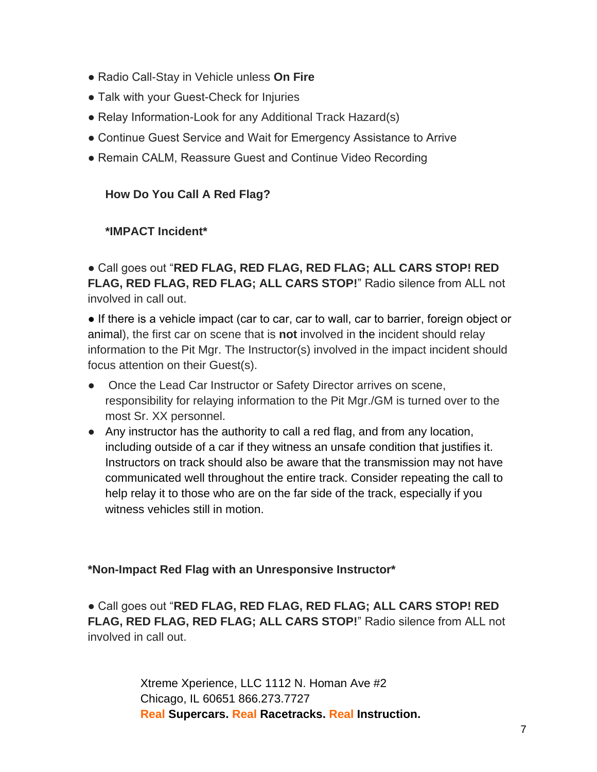- Radio Call-Stay in Vehicle unless **On Fire**
- Talk with your Guest-Check for Injuries
- Relay Information-Look for any Additional Track Hazard(s)
- Continue Guest Service and Wait for Emergency Assistance to Arrive
- Remain CALM, Reassure Guest and Continue Video Recording

#### **How Do You Call A Red Flag?**

#### **\*IMPACT Incident\***

● Call goes out "**RED FLAG, RED FLAG, RED FLAG; ALL CARS STOP! RED FLAG, RED FLAG, RED FLAG; ALL CARS STOP!**" Radio silence from ALL not involved in call out.

● If there is a vehicle impact (car to car, car to wall, car to barrier, foreign object or animal), the first car on scene that is **not** involved in the incident should relay information to the Pit Mgr. The Instructor(s) involved in the impact incident should focus attention on their Guest(s).

- Once the Lead Car Instructor or Safety Director arrives on scene, responsibility for relaying information to the Pit Mgr./GM is turned over to the most Sr. XX personnel.
- Any instructor has the authority to call a red flag, and from any location, including outside of a car if they witness an unsafe condition that justifies it. Instructors on track should also be aware that the transmission may not have communicated well throughout the entire track. Consider repeating the call to help relay it to those who are on the far side of the track, especially if you witness vehicles still in motion.

#### **\*Non-Impact Red Flag with an Unresponsive Instructor\***

● Call goes out "**RED FLAG, RED FLAG, RED FLAG; ALL CARS STOP! RED FLAG, RED FLAG, RED FLAG; ALL CARS STOP!**" Radio silence from ALL not involved in call out.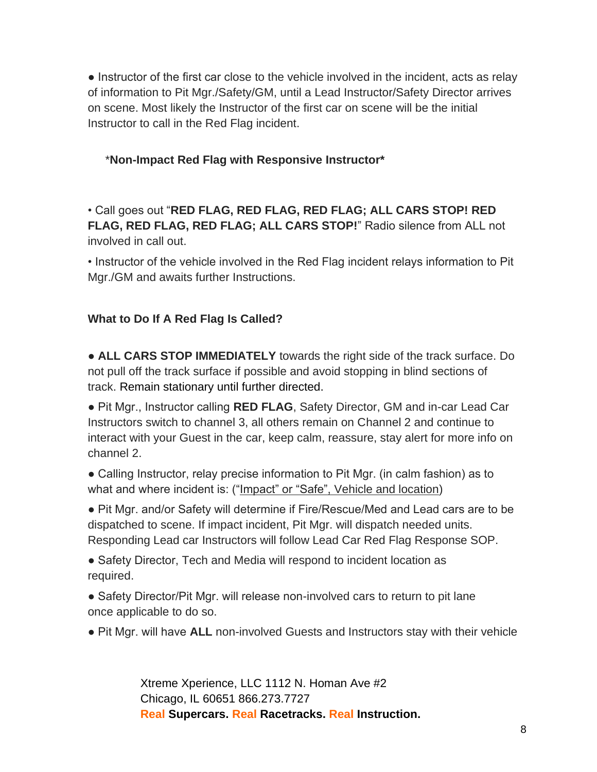● Instructor of the first car close to the vehicle involved in the incident, acts as relay of information to Pit Mgr./Safety/GM, until a Lead Instructor/Safety Director arrives on scene. Most likely the Instructor of the first car on scene will be the initial Instructor to call in the Red Flag incident.

#### \***Non-Impact Red Flag with Responsive Instructor\***

• Call goes out "**RED FLAG, RED FLAG, RED FLAG; ALL CARS STOP! RED FLAG, RED FLAG, RED FLAG; ALL CARS STOP!**" Radio silence from ALL not involved in call out.

• Instructor of the vehicle involved in the Red Flag incident relays information to Pit Mgr./GM and awaits further Instructions.

#### **What to Do If A Red Flag Is Called?**

● **ALL CARS STOP IMMEDIATELY** towards the right side of the track surface. Do not pull off the track surface if possible and avoid stopping in blind sections of track. Remain stationary until further directed.

● Pit Mgr., Instructor calling **RED FLAG**, Safety Director, GM and in-car Lead Car Instructors switch to channel 3, all others remain on Channel 2 and continue to interact with your Guest in the car, keep calm, reassure, stay alert for more info on channel 2.

● Calling Instructor, relay precise information to Pit Mgr. (in calm fashion) as to what and where incident is: ("Impact" or "Safe", Vehicle and location)

● Pit Mgr. and/or Safety will determine if Fire/Rescue/Med and Lead cars are to be dispatched to scene. If impact incident, Pit Mgr. will dispatch needed units. Responding Lead car Instructors will follow Lead Car Red Flag Response SOP.

• Safety Director, Tech and Media will respond to incident location as required.

• Safety Director/Pit Mgr. will release non-involved cars to return to pit lane once applicable to do so.

● Pit Mgr. will have **ALL** non-involved Guests and Instructors stay with their vehicle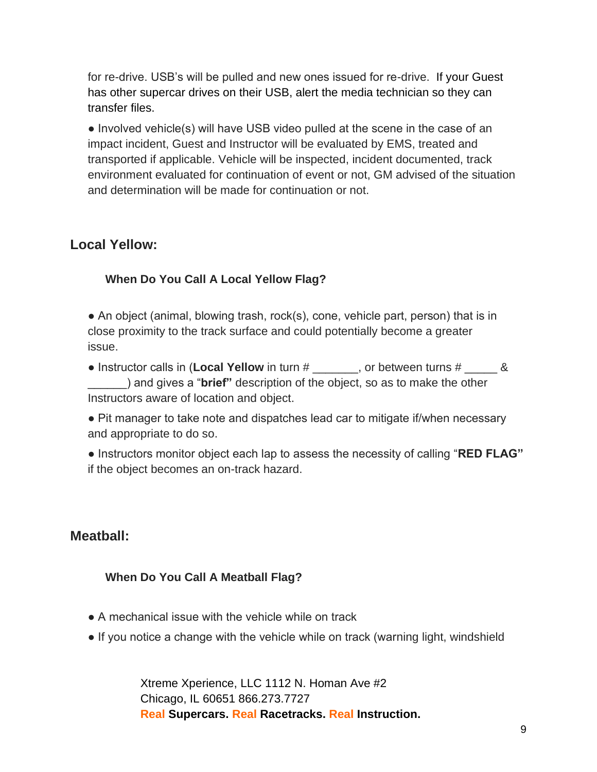for re-drive. USB's will be pulled and new ones issued for re-drive. If your Guest has other supercar drives on their USB, alert the media technician so they can transfer files.

● Involved vehicle(s) will have USB video pulled at the scene in the case of an impact incident, Guest and Instructor will be evaluated by EMS, treated and transported if applicable. Vehicle will be inspected, incident documented, track environment evaluated for continuation of event or not, GM advised of the situation and determination will be made for continuation or not.

## **Local Yellow:**

#### **When Do You Call A Local Yellow Flag?**

• An object (animal, blowing trash, rock(s), cone, vehicle part, person) that is in close proximity to the track surface and could potentially become a greater issue.

● Instructor calls in (**Local Yellow** in turn # \_\_\_\_\_\_, or between turns #  $\frac{1}{2}$  & \_\_\_\_\_\_) and gives a "**brief"** description of the object, so as to make the other Instructors aware of location and object.

● Pit manager to take note and dispatches lead car to mitigate if/when necessary and appropriate to do so.

● Instructors monitor object each lap to assess the necessity of calling "**RED FLAG"**  if the object becomes an on-track hazard.

## **Meatball:**

#### **When Do You Call A Meatball Flag?**

- A mechanical issue with the vehicle while on track
- If you notice a change with the vehicle while on track (warning light, windshield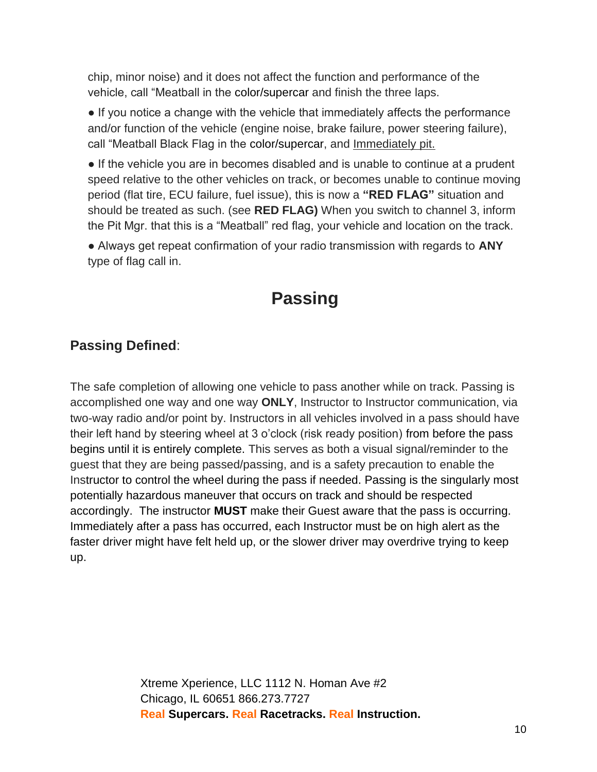chip, minor noise) and it does not affect the function and performance of the vehicle, call "Meatball in the color/supercar and finish the three laps.

● If you notice a change with the vehicle that immediately affects the performance and/or function of the vehicle (engine noise, brake failure, power steering failure), call "Meatball Black Flag in the color/supercar, and Immediately pit.

• If the vehicle you are in becomes disabled and is unable to continue at a prudent speed relative to the other vehicles on track, or becomes unable to continue moving period (flat tire, ECU failure, fuel issue), this is now a **"RED FLAG"** situation and should be treated as such. (see **RED FLAG)** When you switch to channel 3, inform the Pit Mgr. that this is a "Meatball" red flag, your vehicle and location on the track.

● Always get repeat confirmation of your radio transmission with regards to **ANY**  type of flag call in.

# **Passing**

## **Passing Defined**:

The safe completion of allowing one vehicle to pass another while on track. Passing is accomplished one way and one way **ONLY**, Instructor to Instructor communication, via two-way radio and/or point by. Instructors in all vehicles involved in a pass should have their left hand by steering wheel at 3 o'clock (risk ready position) from before the pass begins until it is entirely complete. This serves as both a visual signal/reminder to the guest that they are being passed/passing, and is a safety precaution to enable the Instructor to control the wheel during the pass if needed. Passing is the singularly most potentially hazardous maneuver that occurs on track and should be respected accordingly. The instructor **MUST** make their Guest aware that the pass is occurring. Immediately after a pass has occurred, each Instructor must be on high alert as the faster driver might have felt held up, or the slower driver may overdrive trying to keep up.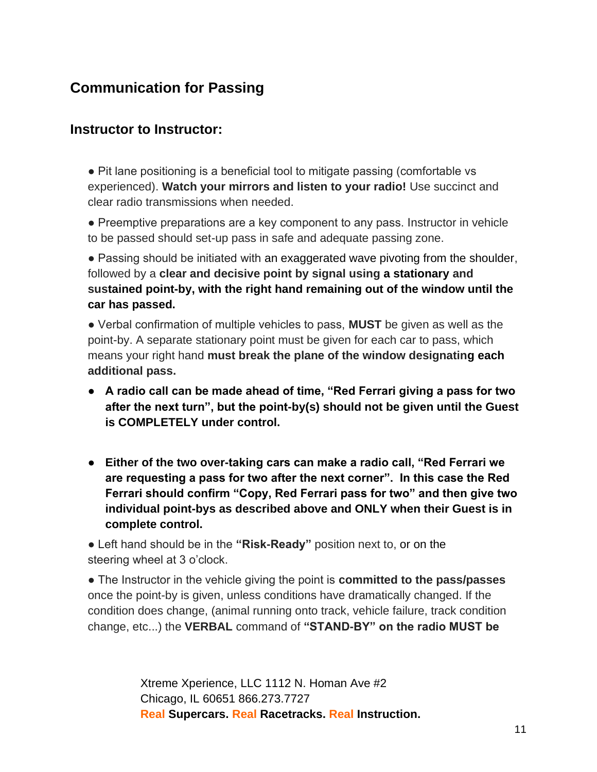# **Communication for Passing**

#### **Instructor to Instructor:**

● Pit lane positioning is a beneficial tool to mitigate passing (comfortable vs experienced). **Watch your mirrors and listen to your radio!** Use succinct and clear radio transmissions when needed.

● Preemptive preparations are a key component to any pass. Instructor in vehicle to be passed should set-up pass in safe and adequate passing zone.

• Passing should be initiated with an exaggerated wave pivoting from the shoulder, followed by a **clear and decisive point by signal using a stationary and sustained point-by, with the right hand remaining out of the window until the car has passed.**

● Verbal confirmation of multiple vehicles to pass, **MUST** be given as well as the point-by. A separate stationary point must be given for each car to pass, which means your right hand **must break the plane of the window designating each additional pass.** 

- **A radio call can be made ahead of time, "Red Ferrari giving a pass for two after the next turn", but the point-by(s) should not be given until the Guest is COMPLETELY under control.**
- **Either of the two over-taking cars can make a radio call, "Red Ferrari we are requesting a pass for two after the next corner". In this case the Red Ferrari should confirm "Copy, Red Ferrari pass for two" and then give two individual point-bys as described above and ONLY when their Guest is in complete control.**

● Left hand should be in the **"Risk-Ready"** position next to, or on the steering wheel at 3 o'clock.

● The Instructor in the vehicle giving the point is **committed to the pass/passes**  once the point-by is given, unless conditions have dramatically changed. If the condition does change, (animal running onto track, vehicle failure, track condition change, etc...) the **VERBAL** command of **"STAND-BY" on the radio MUST be**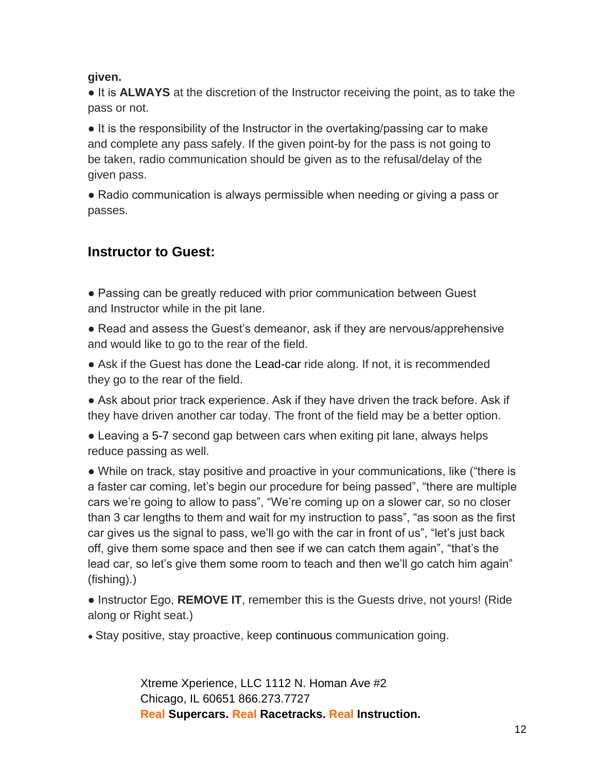#### **given.**

● It is **ALWAYS** at the discretion of the Instructor receiving the point, as to take the pass or not.

● It is the responsibility of the Instructor in the overtaking/passing car to make and complete any pass safely. If the given point-by for the pass is not going to be taken, radio communication should be given as to the refusal/delay of the given pass.

• Radio communication is always permissible when needing or giving a pass or passes.

## **Instructor to Guest:**

• Passing can be greatly reduced with prior communication between Guest and Instructor while in the pit lane.

- Read and assess the Guest's demeanor, ask if they are nervous/apprehensive and would like to go to the rear of the field.
- Ask if the Guest has done the Lead-car ride along. If not, it is recommended they go to the rear of the field.

● Ask about prior track experience. Ask if they have driven the track before. Ask if they have driven another car today. The front of the field may be a better option.

• Leaving a 5-7 second gap between cars when exiting pit lane, always helps reduce passing as well.

• While on track, stay positive and proactive in your communications, like ("there is a faster car coming, let's begin our procedure for being passed", "there are multiple cars we're going to allow to pass", "We're coming up on a slower car, so no closer than 3 car lengths to them and wait for my instruction to pass", "as soon as the first car gives us the signal to pass, we'll go with the car in front of us", "let's just back off, give them some space and then see if we can catch them again", "that's the lead car, so let's give them some room to teach and then we'll go catch him again" (fishing).)

● Instructor Ego, **REMOVE IT**, remember this is the Guests drive, not yours! (Ride along or Right seat.)

• Stay positive, stay proactive, keep continuous communication going.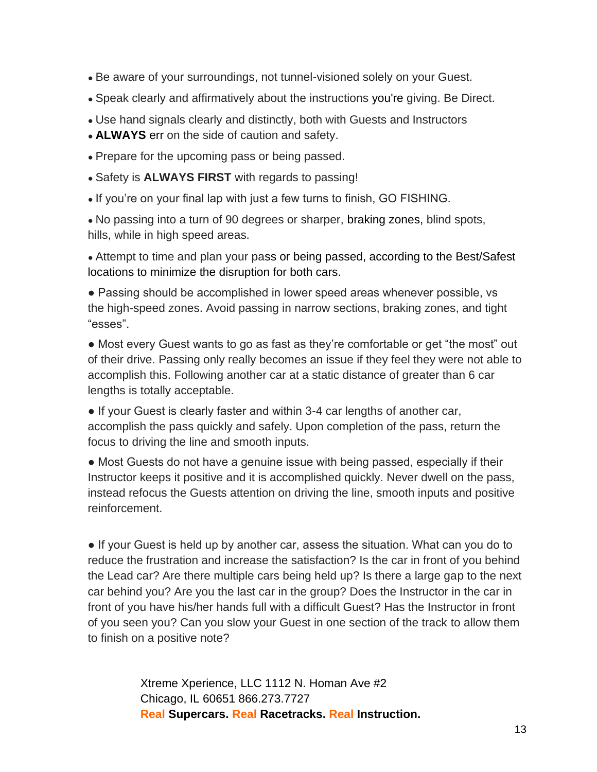- Be aware of your surroundings, not tunnel-visioned solely on your Guest.
- Speak clearly and affirmatively about the instructions you're giving. Be Direct.
- Use hand signals clearly and distinctly, both with Guests and Instructors
- **ALWAYS** err on the side of caution and safety.
- Prepare for the upcoming pass or being passed.
- Safety is **ALWAYS FIRST** with regards to passing!
- If you're on your final lap with just a few turns to finish, GO FISHING.

• No passing into a turn of 90 degrees or sharper, braking zones, blind spots, hills, while in high speed areas.

• Attempt to time and plan your pass or being passed, according to the Best/Safest locations to minimize the disruption for both cars.

• Passing should be accomplished in lower speed areas whenever possible, vs the high-speed zones. Avoid passing in narrow sections, braking zones, and tight "esses".

● Most every Guest wants to go as fast as they're comfortable or get "the most" out of their drive. Passing only really becomes an issue if they feel they were not able to accomplish this. Following another car at a static distance of greater than 6 car lengths is totally acceptable.

● If your Guest is clearly faster and within 3-4 car lengths of another car, accomplish the pass quickly and safely. Upon completion of the pass, return the focus to driving the line and smooth inputs.

• Most Guests do not have a genuine issue with being passed, especially if their Instructor keeps it positive and it is accomplished quickly. Never dwell on the pass, instead refocus the Guests attention on driving the line, smooth inputs and positive reinforcement.

● If your Guest is held up by another car, assess the situation. What can you do to reduce the frustration and increase the satisfaction? Is the car in front of you behind the Lead car? Are there multiple cars being held up? Is there a large gap to the next car behind you? Are you the last car in the group? Does the Instructor in the car in front of you have his/her hands full with a difficult Guest? Has the Instructor in front of you seen you? Can you slow your Guest in one section of the track to allow them to finish on a positive note?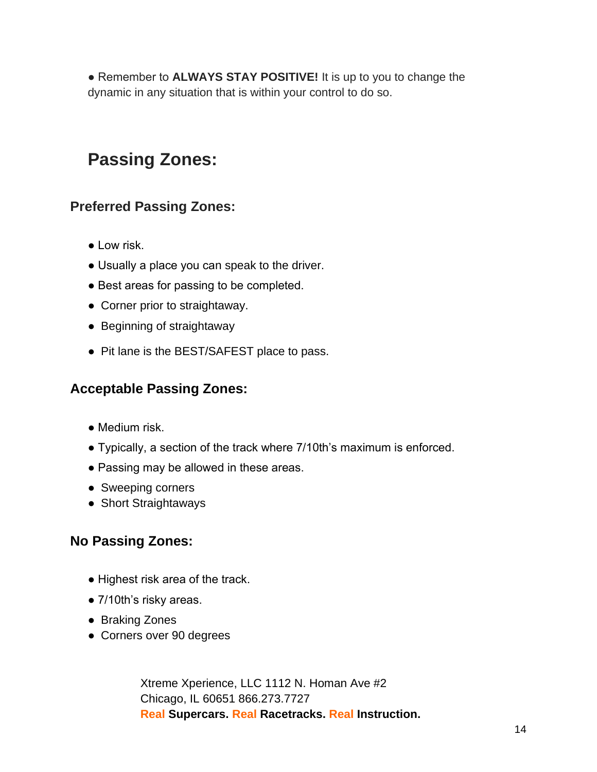● Remember to **ALWAYS STAY POSITIVE!** It is up to you to change the dynamic in any situation that is within your control to do so.

# **Passing Zones:**

## **Preferred Passing Zones:**

- Low risk.
- Usually a place you can speak to the driver.
- Best areas for passing to be completed.
- Corner prior to straightaway.
- Beginning of straightaway
- Pit lane is the BEST/SAFEST place to pass.

## **Acceptable Passing Zones:**

- Medium risk.
- Typically, a section of the track where 7/10th's maximum is enforced.
- Passing may be allowed in these areas.
- Sweeping corners
- Short Straightaways

## **No Passing Zones:**

- Highest risk area of the track.
- 7/10th's risky areas.
- Braking Zones
- Corners over 90 degrees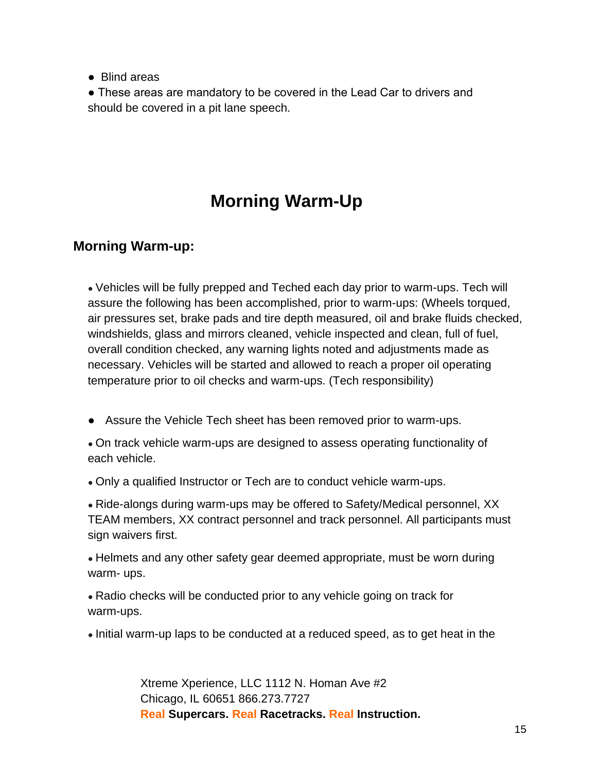● Blind areas

• These areas are mandatory to be covered in the Lead Car to drivers and should be covered in a pit lane speech.

# **Morning Warm-Up**

## **Morning Warm-up:**

• Vehicles will be fully prepped and Teched each day prior to warm-ups. Tech will assure the following has been accomplished, prior to warm-ups: (Wheels torqued, air pressures set, brake pads and tire depth measured, oil and brake fluids checked, windshields, glass and mirrors cleaned, vehicle inspected and clean, full of fuel, overall condition checked, any warning lights noted and adjustments made as necessary. Vehicles will be started and allowed to reach a proper oil operating temperature prior to oil checks and warm-ups. (Tech responsibility)

• Assure the Vehicle Tech sheet has been removed prior to warm-ups.

• On track vehicle warm-ups are designed to assess operating functionality of each vehicle.

• Only a qualified Instructor or Tech are to conduct vehicle warm-ups.

• Ride-alongs during warm-ups may be offered to Safety/Medical personnel, XX TEAM members, XX contract personnel and track personnel. All participants must sign waivers first.

• Helmets and any other safety gear deemed appropriate, must be worn during warm- ups.

• Radio checks will be conducted prior to any vehicle going on track for warm-ups.

• Initial warm-up laps to be conducted at a reduced speed, as to get heat in the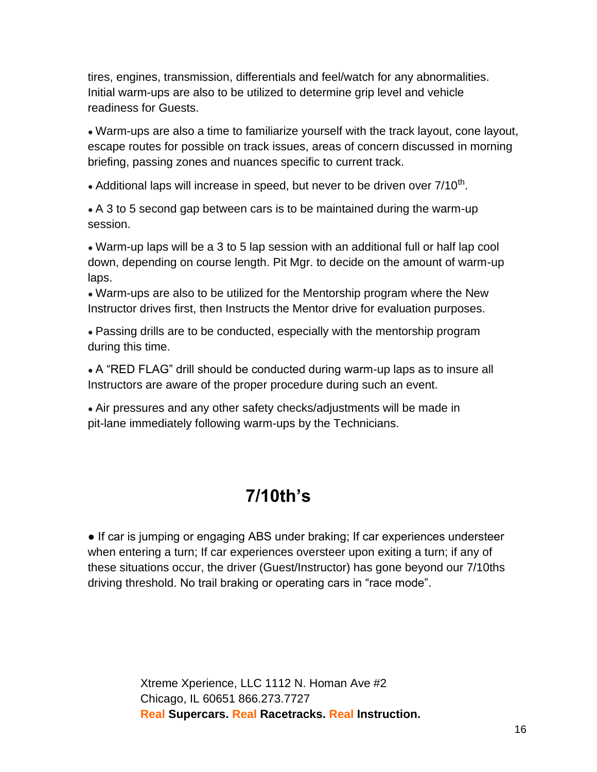tires, engines, transmission, differentials and feel/watch for any abnormalities. Initial warm-ups are also to be utilized to determine grip level and vehicle readiness for Guests.

• Warm-ups are also a time to familiarize yourself with the track layout, cone layout, escape routes for possible on track issues, areas of concern discussed in morning briefing, passing zones and nuances specific to current track.

• Additional laps will increase in speed, but never to be driven over  $7/10<sup>th</sup>$ .

• A 3 to 5 second gap between cars is to be maintained during the warm-up session.

• Warm-up laps will be a 3 to 5 lap session with an additional full or half lap cool down, depending on course length. Pit Mgr. to decide on the amount of warm-up laps.

• Warm-ups are also to be utilized for the Mentorship program where the New Instructor drives first, then Instructs the Mentor drive for evaluation purposes.

• Passing drills are to be conducted, especially with the mentorship program during this time.

• A "RED FLAG" drill should be conducted during warm-up laps as to insure all Instructors are aware of the proper procedure during such an event.

• Air pressures and any other safety checks/adjustments will be made in pit-lane immediately following warm-ups by the Technicians.

# **7/10th's**

• If car is jumping or engaging ABS under braking; If car experiences understeer when entering a turn; If car experiences oversteer upon exiting a turn; if any of these situations occur, the driver (Guest/Instructor) has gone beyond our 7/10ths driving threshold. No trail braking or operating cars in "race mode".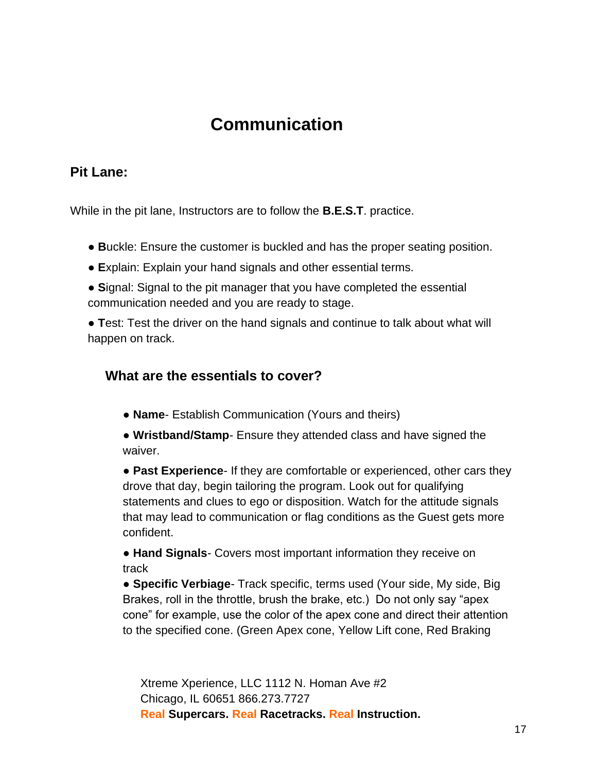# **Communication**

## **Pit Lane:**

While in the pit lane, Instructors are to follow the **B.E.S.T**. practice.

- **B**uckle: Ensure the customer is buckled and has the proper seating position.
- **E**xplain: Explain your hand signals and other essential terms.
- **S**ignal: Signal to the pit manager that you have completed the essential communication needed and you are ready to stage.

● **T**est: Test the driver on the hand signals and continue to talk about what will happen on track.

## **What are the essentials to cover?**

- **Name-** Establish Communication (Yours and theirs)
- **Wristband/Stamp** Ensure they attended class and have signed the waiver.

● **Past Experience**- If they are comfortable or experienced, other cars they drove that day, begin tailoring the program. Look out for qualifying statements and clues to ego or disposition. Watch for the attitude signals that may lead to communication or flag conditions as the Guest gets more confident.

● **Hand Signals**- Covers most important information they receive on track

● **Specific Verbiage**- Track specific, terms used (Your side, My side, Big Brakes, roll in the throttle, brush the brake, etc.) Do not only say "apex cone" for example, use the color of the apex cone and direct their attention to the specified cone. (Green Apex cone, Yellow Lift cone, Red Braking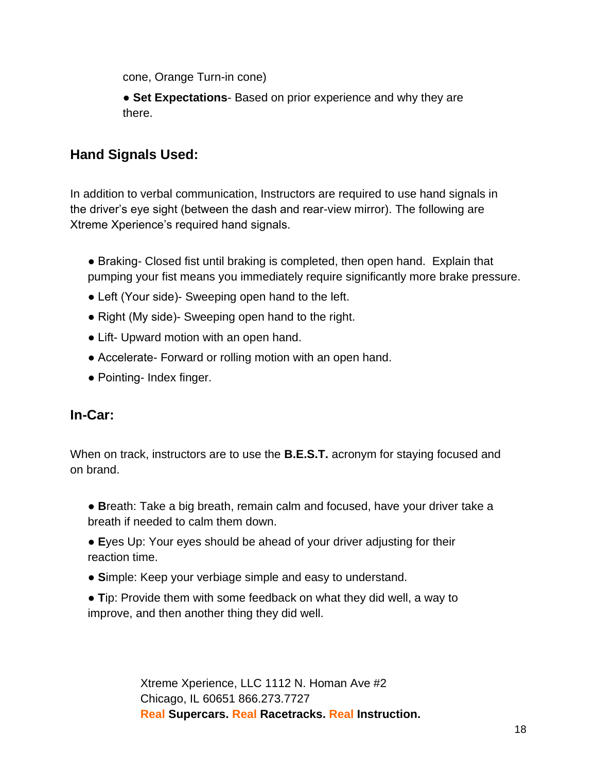cone, Orange Turn-in cone)

**• Set Expectations**- Based on prior experience and why they are there.

## **Hand Signals Used:**

In addition to verbal communication, Instructors are required to use hand signals in the driver's eye sight (between the dash and rear-view mirror). The following are Xtreme Xperience's required hand signals.

- Braking- Closed fist until braking is completed, then open hand. Explain that pumping your fist means you immediately require significantly more brake pressure.
- Left (Your side)- Sweeping open hand to the left.
- Right (My side)- Sweeping open hand to the right.
- Lift- Upward motion with an open hand.
- Accelerate- Forward or rolling motion with an open hand.
- Pointing- Index finger.

## **In-Car:**

When on track, instructors are to use the **B.E.S.T.** acronym for staying focused and on brand.

- **B**reath: Take a big breath, remain calm and focused, have your driver take a breath if needed to calm them down.
- **E**yes Up: Your eyes should be ahead of your driver adjusting for their reaction time.
- **S**imple: Keep your verbiage simple and easy to understand.
- **T**ip: Provide them with some feedback on what they did well, a way to improve, and then another thing they did well.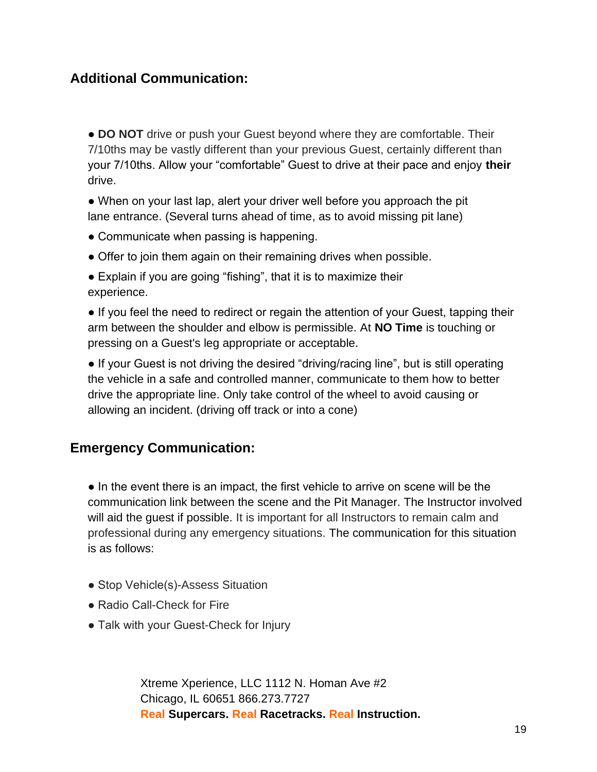## **Additional Communication:**

• **DO NOT** drive or push your Guest beyond where they are comfortable. Their 7/10ths may be vastly different than your previous Guest, certainly different than your 7/10ths. Allow your "comfortable" Guest to drive at their pace and enjoy **their** drive.

• When on your last lap, alert your driver well before you approach the pit lane entrance. (Several turns ahead of time, as to avoid missing pit lane)

- Communicate when passing is happening.
- Offer to join them again on their remaining drives when possible.
- Explain if you are going "fishing", that it is to maximize their experience.

• If you feel the need to redirect or regain the attention of your Guest, tapping their arm between the shoulder and elbow is permissible. At **NO Time** is touching or pressing on a Guest's leg appropriate or acceptable.

● If your Guest is not driving the desired "driving/racing line", but is still operating the vehicle in a safe and controlled manner, communicate to them how to better drive the appropriate line. Only take control of the wheel to avoid causing or allowing an incident. (driving off track or into a cone)

#### **Emergency Communication:**

● In the event there is an impact, the first vehicle to arrive on scene will be the communication link between the scene and the Pit Manager. The Instructor involved will aid the guest if possible. It is important for all Instructors to remain calm and professional during any emergency situations. The communication for this situation is as follows:

- Stop Vehicle(s)-Assess Situation
- Radio Call-Check for Fire
- Talk with your Guest-Check for Injury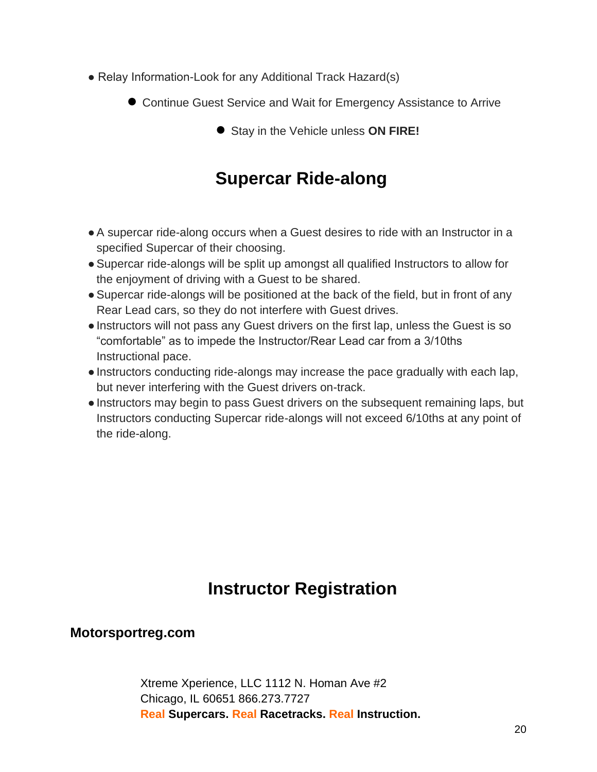- Relay Information-Look for any Additional Track Hazard(s)
	- Continue Guest Service and Wait for Emergency Assistance to Arrive
		- Stay in the Vehicle unless **ON FIRE!**

# **Supercar Ride-along**

- ●A supercar ride-along occurs when a Guest desires to ride with an Instructor in a specified Supercar of their choosing.
- ●Supercar ride-alongs will be split up amongst all qualified Instructors to allow for the enjoyment of driving with a Guest to be shared.
- Supercar ride-alongs will be positioned at the back of the field, but in front of any Rear Lead cars, so they do not interfere with Guest drives.
- ●Instructors will not pass any Guest drivers on the first lap, unless the Guest is so "comfortable" as to impede the Instructor/Rear Lead car from a 3/10ths Instructional pace.
- ●Instructors conducting ride-alongs may increase the pace gradually with each lap, but never interfering with the Guest drivers on-track.
- ●Instructors may begin to pass Guest drivers on the subsequent remaining laps, but Instructors conducting Supercar ride-alongs will not exceed 6/10ths at any point of the ride-along.

# **Instructor Registration**

## **Motorsportreg.com**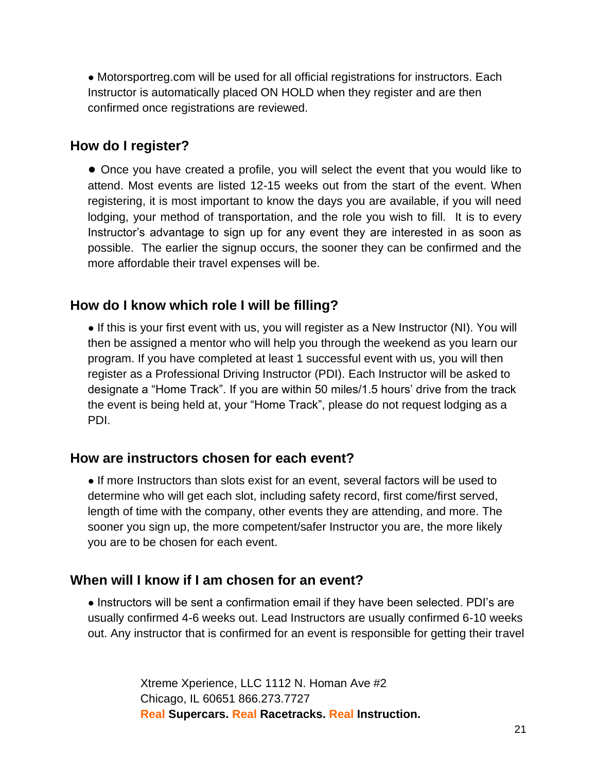• Motorsportreg.com will be used for all official registrations for instructors. Each Instructor is automatically placed ON HOLD when they register and are then confirmed once registrations are reviewed.

## **How do I register?**

● Once you have created a profile, you will select the event that you would like to attend. Most events are listed 12-15 weeks out from the start of the event. When registering, it is most important to know the days you are available, if you will need lodging, your method of transportation, and the role you wish to fill. It is to every Instructor's advantage to sign up for any event they are interested in as soon as possible. The earlier the signup occurs, the sooner they can be confirmed and the more affordable their travel expenses will be.

## **How do I know which role I will be filling?**

• If this is your first event with us, you will register as a New Instructor (NI). You will then be assigned a mentor who will help you through the weekend as you learn our program. If you have completed at least 1 successful event with us, you will then register as a Professional Driving Instructor (PDI). Each Instructor will be asked to designate a "Home Track". If you are within 50 miles/1.5 hours' drive from the track the event is being held at, your "Home Track", please do not request lodging as a PDI.

## **How are instructors chosen for each event?**

● If more Instructors than slots exist for an event, several factors will be used to determine who will get each slot, including safety record, first come/first served, length of time with the company, other events they are attending, and more. The sooner you sign up, the more competent/safer Instructor you are, the more likely you are to be chosen for each event.

## **When will I know if I am chosen for an event?**

• Instructors will be sent a confirmation email if they have been selected. PDI's are usually confirmed 4-6 weeks out. Lead Instructors are usually confirmed 6-10 weeks out. Any instructor that is confirmed for an event is responsible for getting their travel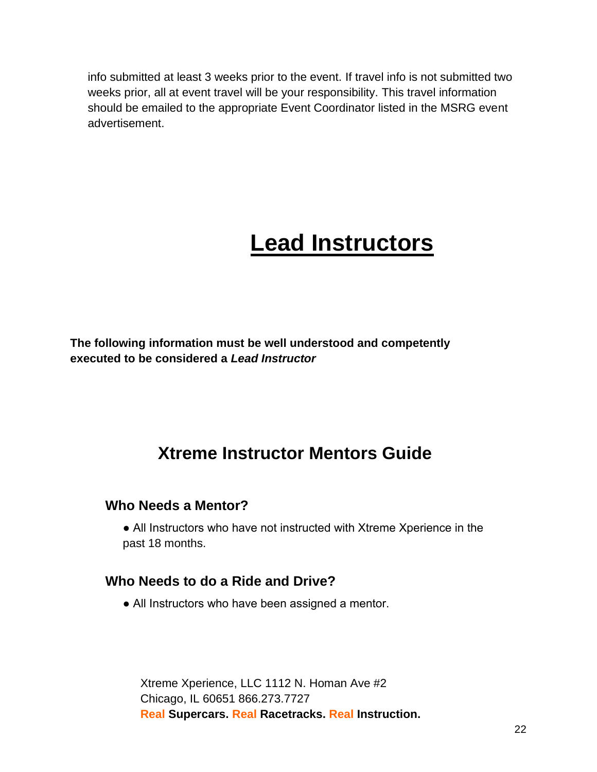info submitted at least 3 weeks prior to the event. If travel info is not submitted two weeks prior, all at event travel will be your responsibility. This travel information should be emailed to the appropriate Event Coordinator listed in the MSRG event advertisement.

# **Lead Instructors**

**The following information must be well understood and competently executed to be considered a** *Lead Instructor*

# **Xtreme Instructor Mentors Guide**

## **Who Needs a Mentor?**

• All Instructors who have not instructed with Xtreme Xperience in the past 18 months.

## **Who Needs to do a Ride and Drive?**

• All Instructors who have been assigned a mentor.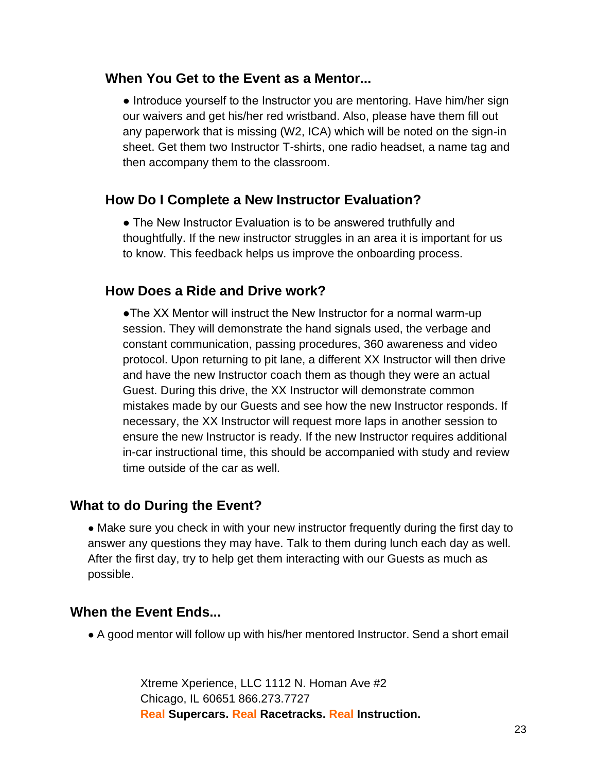#### **When You Get to the Event as a Mentor...**

• Introduce yourself to the Instructor you are mentoring. Have him/her sign our waivers and get his/her red wristband. Also, please have them fill out any paperwork that is missing (W2, ICA) which will be noted on the sign-in sheet. Get them two Instructor T-shirts, one radio headset, a name tag and then accompany them to the classroom.

#### **How Do I Complete a New Instructor Evaluation?**

• The New Instructor Evaluation is to be answered truthfully and thoughtfully. If the new instructor struggles in an area it is important for us to know. This feedback helps us improve the onboarding process.

#### **How Does a Ride and Drive work?**

●The XX Mentor will instruct the New Instructor for a normal warm-up session. They will demonstrate the hand signals used, the verbage and constant communication, passing procedures, 360 awareness and video protocol. Upon returning to pit lane, a different XX Instructor will then drive and have the new Instructor coach them as though they were an actual Guest. During this drive, the XX Instructor will demonstrate common mistakes made by our Guests and see how the new Instructor responds. If necessary, the XX Instructor will request more laps in another session to ensure the new Instructor is ready. If the new Instructor requires additional in-car instructional time, this should be accompanied with study and review time outside of the car as well.

## **What to do During the Event?**

• Make sure you check in with your new instructor frequently during the first day to answer any questions they may have. Talk to them during lunch each day as well. After the first day, try to help get them interacting with our Guests as much as possible.

## **When the Event Ends...**

• A good mentor will follow up with his/her mentored Instructor. Send a short email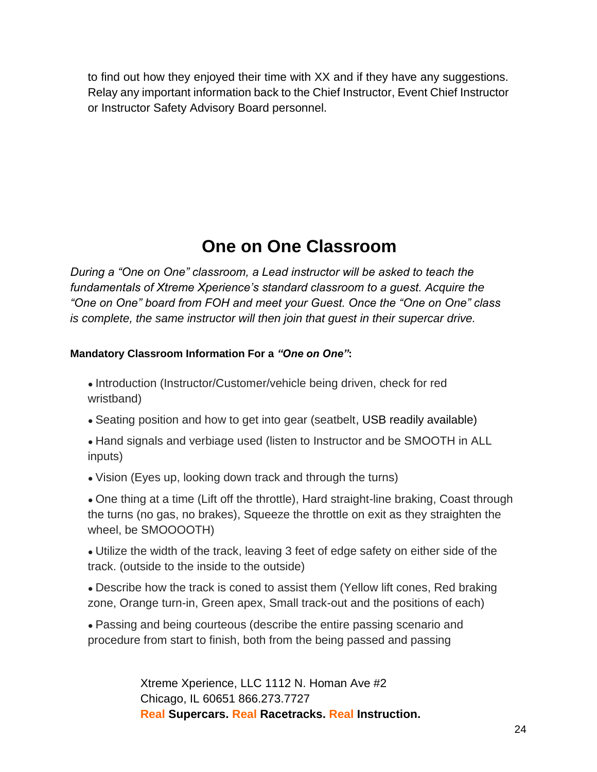to find out how they enjoyed their time with XX and if they have any suggestions. Relay any important information back to the Chief Instructor, Event Chief Instructor or Instructor Safety Advisory Board personnel.

# **One on One Classroom**

*During a "One on One" classroom, a Lead instructor will be asked to teach the fundamentals of Xtreme Xperience's standard classroom to a guest. Acquire the "One on One" board from FOH and meet your Guest. Once the "One on One" class is complete, the same instructor will then join that guest in their supercar drive.*

#### **Mandatory Classroom Information For a** *"One on One"***:**

• Introduction (Instructor/Customer/vehicle being driven, check for red wristband)

- Seating position and how to get into gear (seatbelt, USB readily available)
- Hand signals and verbiage used (listen to Instructor and be SMOOTH in ALL inputs)
- Vision (Eyes up, looking down track and through the turns)

• One thing at a time (Lift off the throttle), Hard straight-line braking, Coast through the turns (no gas, no brakes), Squeeze the throttle on exit as they straighten the wheel, be SMOOOOTH)

• Utilize the width of the track, leaving 3 feet of edge safety on either side of the track. (outside to the inside to the outside)

• Describe how the track is coned to assist them (Yellow lift cones, Red braking zone, Orange turn-in, Green apex, Small track-out and the positions of each)

• Passing and being courteous (describe the entire passing scenario and procedure from start to finish, both from the being passed and passing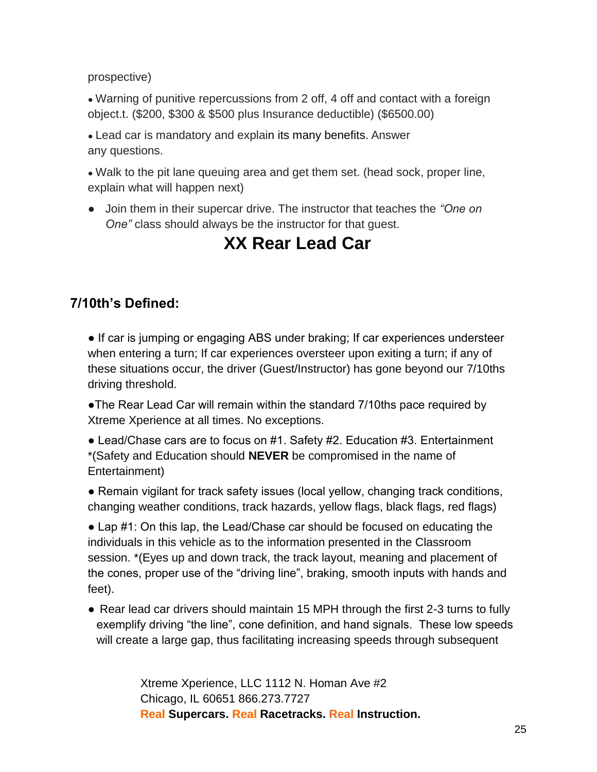prospective)

• Warning of punitive repercussions from 2 off, 4 off and contact with a foreign object.t. (\$200, \$300 & \$500 plus Insurance deductible) (\$6500.00)

• Lead car is mandatory and explain its many benefits. Answer any questions.

• Walk to the pit lane queuing area and get them set. (head sock, proper line, explain what will happen next)

● Join them in their supercar drive. The instructor that teaches the *"One on One"* class should always be the instructor for that guest.

# **XX Rear Lead Car**

## **7/10th's Defined:**

• If car is jumping or engaging ABS under braking; If car experiences understeer when entering a turn; If car experiences oversteer upon exiting a turn; if any of these situations occur, the driver (Guest/Instructor) has gone beyond our 7/10ths driving threshold.

●The Rear Lead Car will remain within the standard 7/10ths pace required by Xtreme Xperience at all times. No exceptions.

● Lead/Chase cars are to focus on #1. Safety #2. Education #3. Entertainment \*(Safety and Education should **NEVER** be compromised in the name of Entertainment)

● Remain vigilant for track safety issues (local yellow, changing track conditions, changing weather conditions, track hazards, yellow flags, black flags, red flags)

• Lap #1: On this lap, the Lead/Chase car should be focused on educating the individuals in this vehicle as to the information presented in the Classroom session. \*(Eyes up and down track, the track layout, meaning and placement of the cones, proper use of the "driving line", braking, smooth inputs with hands and feet).

● Rear lead car drivers should maintain 15 MPH through the first 2-3 turns to fully exemplify driving "the line", cone definition, and hand signals. These low speeds will create a large gap, thus facilitating increasing speeds through subsequent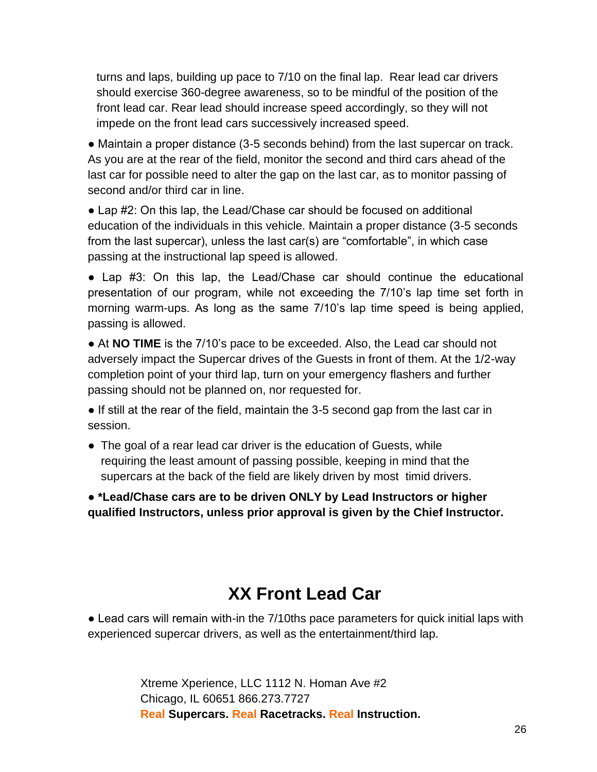turns and laps, building up pace to 7/10 on the final lap. Rear lead car drivers should exercise 360-degree awareness, so to be mindful of the position of the front lead car. Rear lead should increase speed accordingly, so they will not impede on the front lead cars successively increased speed.

● Maintain a proper distance (3-5 seconds behind) from the last supercar on track. As you are at the rear of the field, monitor the second and third cars ahead of the last car for possible need to alter the gap on the last car, as to monitor passing of second and/or third car in line.

● Lap #2: On this lap, the Lead/Chase car should be focused on additional education of the individuals in this vehicle. Maintain a proper distance (3-5 seconds from the last supercar), unless the last car(s) are "comfortable", in which case passing at the instructional lap speed is allowed.

● Lap #3: On this lap, the Lead/Chase car should continue the educational presentation of our program, while not exceeding the 7/10's lap time set forth in morning warm-ups. As long as the same 7/10's lap time speed is being applied, passing is allowed.

• At **NO TIME** is the 7/10's pace to be exceeded. Also, the Lead car should not adversely impact the Supercar drives of the Guests in front of them. At the 1/2-way completion point of your third lap, turn on your emergency flashers and further passing should not be planned on, nor requested for.

• If still at the rear of the field, maintain the 3-5 second gap from the last car in session.

• The goal of a rear lead car driver is the education of Guests, while requiring the least amount of passing possible, keeping in mind that the supercars at the back of the field are likely driven by most timid drivers.

● **\*Lead/Chase cars are to be driven ONLY by Lead Instructors or higher qualified Instructors, unless prior approval is given by the Chief Instructor.** 

# **XX Front Lead Car**

• Lead cars will remain with-in the 7/10ths pace parameters for quick initial laps with experienced supercar drivers, as well as the entertainment/third lap.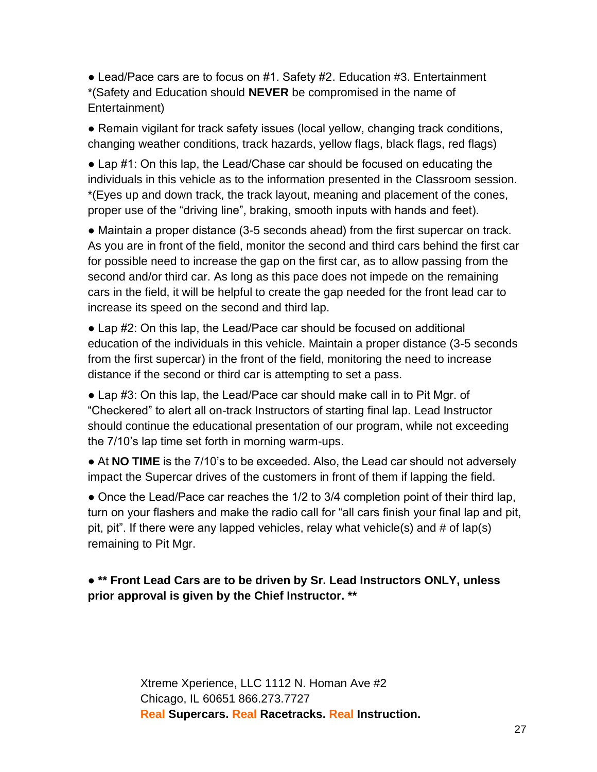● Lead/Pace cars are to focus on #1. Safety #2. Education #3. Entertainment \*(Safety and Education should **NEVER** be compromised in the name of Entertainment)

• Remain vigilant for track safety issues (local yellow, changing track conditions, changing weather conditions, track hazards, yellow flags, black flags, red flags)

● Lap #1: On this lap, the Lead/Chase car should be focused on educating the individuals in this vehicle as to the information presented in the Classroom session. \*(Eyes up and down track, the track layout, meaning and placement of the cones, proper use of the "driving line", braking, smooth inputs with hands and feet).

● Maintain a proper distance (3-5 seconds ahead) from the first supercar on track. As you are in front of the field, monitor the second and third cars behind the first car for possible need to increase the gap on the first car, as to allow passing from the second and/or third car. As long as this pace does not impede on the remaining cars in the field, it will be helpful to create the gap needed for the front lead car to increase its speed on the second and third lap.

● Lap #2: On this lap, the Lead/Pace car should be focused on additional education of the individuals in this vehicle. Maintain a proper distance (3-5 seconds from the first supercar) in the front of the field, monitoring the need to increase distance if the second or third car is attempting to set a pass.

● Lap #3: On this lap, the Lead/Pace car should make call in to Pit Mgr. of "Checkered" to alert all on-track Instructors of starting final lap. Lead Instructor should continue the educational presentation of our program, while not exceeding the 7/10's lap time set forth in morning warm-ups.

• At **NO TIME** is the 7/10's to be exceeded. Also, the Lead car should not adversely impact the Supercar drives of the customers in front of them if lapping the field.

• Once the Lead/Pace car reaches the 1/2 to 3/4 completion point of their third lap, turn on your flashers and make the radio call for "all cars finish your final lap and pit, pit, pit". If there were any lapped vehicles, relay what vehicle(s) and # of lap(s) remaining to Pit Mgr.

#### ● **\*\* Front Lead Cars are to be driven by Sr. Lead Instructors ONLY, unless prior approval is given by the Chief Instructor. \*\***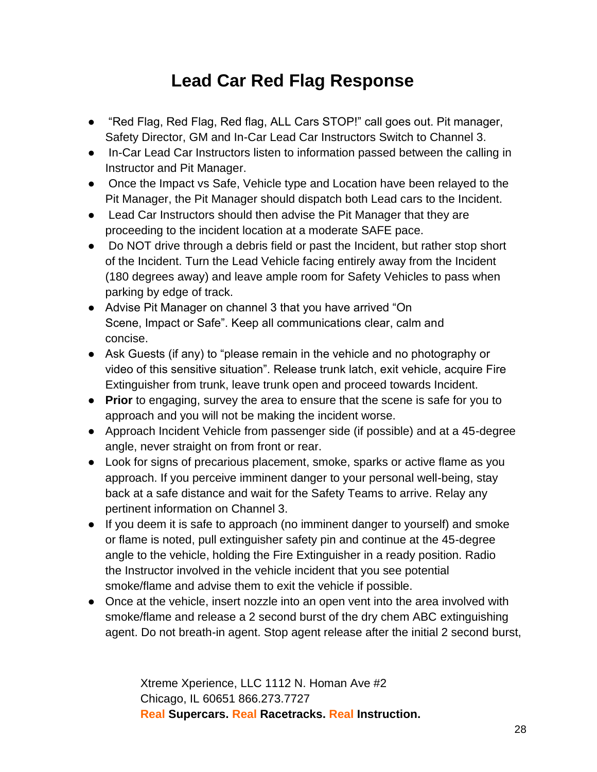# **Lead Car Red Flag Response**

- "Red Flag, Red Flag, Red flag, ALL Cars STOP!" call goes out. Pit manager, Safety Director, GM and In-Car Lead Car Instructors Switch to Channel 3.
- In-Car Lead Car Instructors listen to information passed between the calling in Instructor and Pit Manager.
- Once the Impact vs Safe, Vehicle type and Location have been relayed to the Pit Manager, the Pit Manager should dispatch both Lead cars to the Incident.
- Lead Car Instructors should then advise the Pit Manager that they are proceeding to the incident location at a moderate SAFE pace.
- Do NOT drive through a debris field or past the Incident, but rather stop short of the Incident. Turn the Lead Vehicle facing entirely away from the Incident (180 degrees away) and leave ample room for Safety Vehicles to pass when parking by edge of track.
- Advise Pit Manager on channel 3 that you have arrived "On Scene, Impact or Safe". Keep all communications clear, calm and concise.
- Ask Guests (if any) to "please remain in the vehicle and no photography or video of this sensitive situation". Release trunk latch, exit vehicle, acquire Fire Extinguisher from trunk, leave trunk open and proceed towards Incident.
- **Prior** to engaging, survey the area to ensure that the scene is safe for you to approach and you will not be making the incident worse.
- Approach Incident Vehicle from passenger side (if possible) and at a 45-degree angle, never straight on from front or rear.
- Look for signs of precarious placement, smoke, sparks or active flame as you approach. If you perceive imminent danger to your personal well-being, stay back at a safe distance and wait for the Safety Teams to arrive. Relay any pertinent information on Channel 3.
- If you deem it is safe to approach (no imminent danger to yourself) and smoke or flame is noted, pull extinguisher safety pin and continue at the 45-degree angle to the vehicle, holding the Fire Extinguisher in a ready position. Radio the Instructor involved in the vehicle incident that you see potential smoke/flame and advise them to exit the vehicle if possible.
- Once at the vehicle, insert nozzle into an open vent into the area involved with smoke/flame and release a 2 second burst of the dry chem ABC extinguishing agent. Do not breath-in agent. Stop agent release after the initial 2 second burst,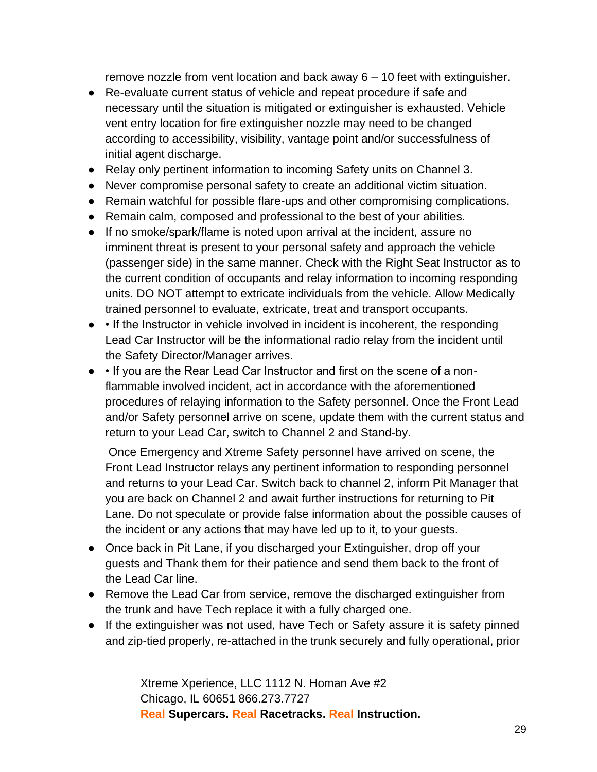remove nozzle from vent location and back away 6 – 10 feet with extinguisher.

- Re-evaluate current status of vehicle and repeat procedure if safe and necessary until the situation is mitigated or extinguisher is exhausted. Vehicle vent entry location for fire extinguisher nozzle may need to be changed according to accessibility, visibility, vantage point and/or successfulness of initial agent discharge.
- Relay only pertinent information to incoming Safety units on Channel 3.
- Never compromise personal safety to create an additional victim situation.
- Remain watchful for possible flare-ups and other compromising complications.
- Remain calm, composed and professional to the best of your abilities.
- If no smoke/spark/flame is noted upon arrival at the incident, assure no imminent threat is present to your personal safety and approach the vehicle (passenger side) in the same manner. Check with the Right Seat Instructor as to the current condition of occupants and relay information to incoming responding units. DO NOT attempt to extricate individuals from the vehicle. Allow Medically trained personnel to evaluate, extricate, treat and transport occupants.
- • If the Instructor in vehicle involved in incident is incoherent, the responding Lead Car Instructor will be the informational radio relay from the incident until the Safety Director/Manager arrives.
- • If you are the Rear Lead Car Instructor and first on the scene of a nonflammable involved incident, act in accordance with the aforementioned procedures of relaying information to the Safety personnel. Once the Front Lead and/or Safety personnel arrive on scene, update them with the current status and return to your Lead Car, switch to Channel 2 and Stand-by.

Once Emergency and Xtreme Safety personnel have arrived on scene, the Front Lead Instructor relays any pertinent information to responding personnel and returns to your Lead Car. Switch back to channel 2, inform Pit Manager that you are back on Channel 2 and await further instructions for returning to Pit Lane. Do not speculate or provide false information about the possible causes of the incident or any actions that may have led up to it, to your guests.

- Once back in Pit Lane, if you discharged your Extinguisher, drop off your guests and Thank them for their patience and send them back to the front of the Lead Car line.
- Remove the Lead Car from service, remove the discharged extinguisher from the trunk and have Tech replace it with a fully charged one.
- If the extinguisher was not used, have Tech or Safety assure it is safety pinned and zip-tied properly, re-attached in the trunk securely and fully operational, prior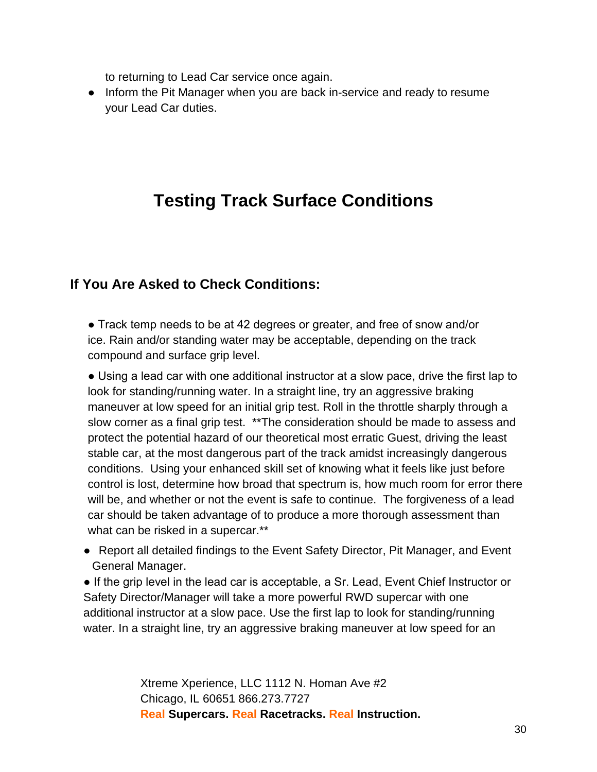to returning to Lead Car service once again.

● Inform the Pit Manager when you are back in-service and ready to resume your Lead Car duties.

# **Testing Track Surface Conditions**

## **If You Are Asked to Check Conditions:**

● Track temp needs to be at 42 degrees or greater, and free of snow and/or ice. Rain and/or standing water may be acceptable, depending on the track compound and surface grip level.

● Using a lead car with one additional instructor at a slow pace, drive the first lap to look for standing/running water. In a straight line, try an aggressive braking maneuver at low speed for an initial grip test. Roll in the throttle sharply through a slow corner as a final grip test. \*\*The consideration should be made to assess and protect the potential hazard of our theoretical most erratic Guest, driving the least stable car, at the most dangerous part of the track amidst increasingly dangerous conditions. Using your enhanced skill set of knowing what it feels like just before control is lost, determine how broad that spectrum is, how much room for error there will be, and whether or not the event is safe to continue. The forgiveness of a lead car should be taken advantage of to produce a more thorough assessment than what can be risked in a supercar.\*\*

● Report all detailed findings to the Event Safety Director, Pit Manager, and Event General Manager.

• If the grip level in the lead car is acceptable, a Sr. Lead, Event Chief Instructor or Safety Director/Manager will take a more powerful RWD supercar with one additional instructor at a slow pace. Use the first lap to look for standing/running water. In a straight line, try an aggressive braking maneuver at low speed for an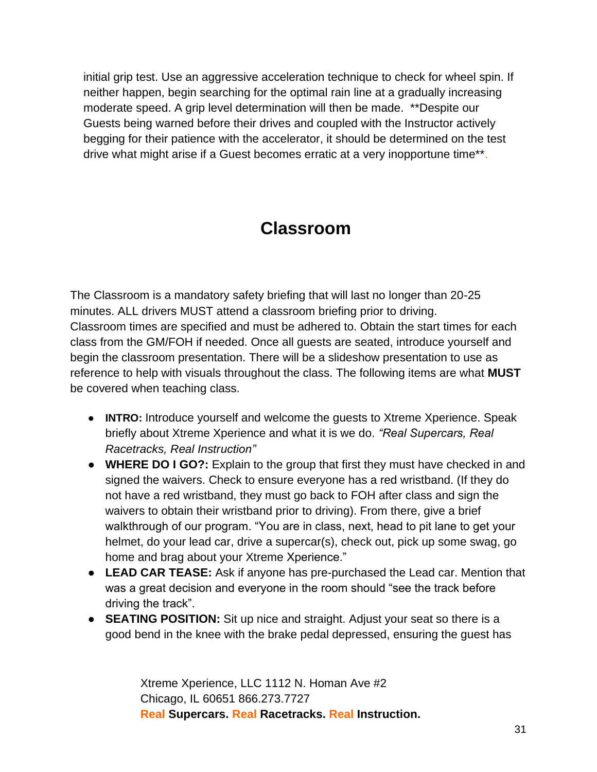initial grip test. Use an aggressive acceleration technique to check for wheel spin. If neither happen, begin searching for the optimal rain line at a gradually increasing moderate speed. A grip level determination will then be made. \*\*Despite our Guests being warned before their drives and coupled with the Instructor actively begging for their patience with the accelerator, it should be determined on the test drive what might arise if a Guest becomes erratic at a very inopportune time\*\*.

# **Classroom**

The Classroom is a mandatory safety briefing that will last no longer than 20-25 minutes. ALL drivers MUST attend a classroom briefing prior to driving. Classroom times are specified and must be adhered to. Obtain the start times for each class from the GM/FOH if needed. Once all guests are seated, introduce yourself and begin the classroom presentation. There will be a slideshow presentation to use as reference to help with visuals throughout the class. The following items are what **MUST** be covered when teaching class.

- **INTRO:** Introduce yourself and welcome the guests to Xtreme Xperience. Speak briefly about Xtreme Xperience and what it is we do. *"Real Supercars, Real Racetracks, Real Instruction"*
- **WHERE DO I GO?:** Explain to the group that first they must have checked in and signed the waivers. Check to ensure everyone has a red wristband. (If they do not have a red wristband, they must go back to FOH after class and sign the waivers to obtain their wristband prior to driving). From there, give a brief walkthrough of our program. "You are in class, next, head to pit lane to get your helmet, do your lead car, drive a supercar(s), check out, pick up some swag, go home and brag about your Xtreme Xperience."
- **LEAD CAR TEASE:** Ask if anyone has pre-purchased the Lead car. Mention that was a great decision and everyone in the room should "see the track before driving the track".
- **SEATING POSITION:** Sit up nice and straight. Adjust your seat so there is a good bend in the knee with the brake pedal depressed, ensuring the guest has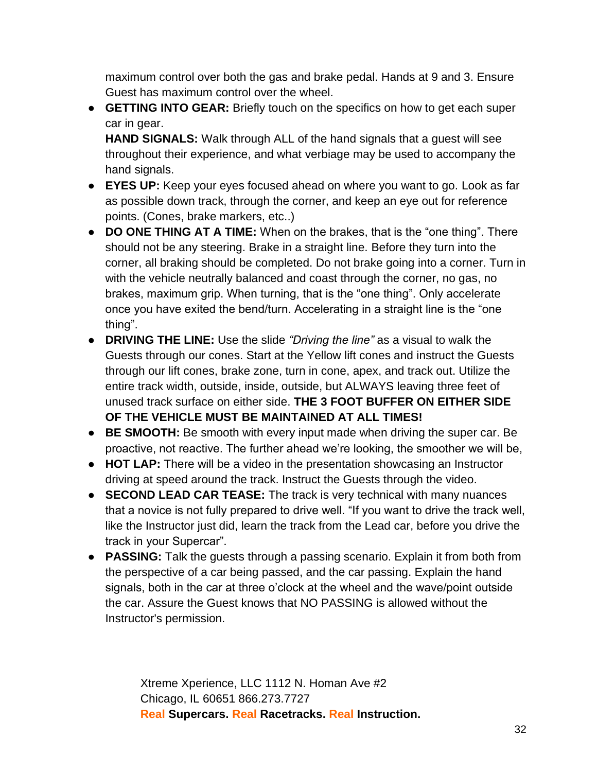maximum control over both the gas and brake pedal. Hands at 9 and 3. Ensure Guest has maximum control over the wheel.

● **GETTING INTO GEAR:** Briefly touch on the specifics on how to get each super car in gear.

**HAND SIGNALS:** Walk through ALL of the hand signals that a guest will see throughout their experience, and what verbiage may be used to accompany the hand signals.

- **EYES UP:** Keep your eyes focused ahead on where you want to go. Look as far as possible down track, through the corner, and keep an eye out for reference points. (Cones, brake markers, etc..)
- **DO ONE THING AT A TIME:** When on the brakes, that is the "one thing". There should not be any steering. Brake in a straight line. Before they turn into the corner, all braking should be completed. Do not brake going into a corner. Turn in with the vehicle neutrally balanced and coast through the corner, no gas, no brakes, maximum grip. When turning, that is the "one thing". Only accelerate once you have exited the bend/turn. Accelerating in a straight line is the "one thing".
- **DRIVING THE LINE:** Use the slide *"Driving the line"* as a visual to walk the Guests through our cones. Start at the Yellow lift cones and instruct the Guests through our lift cones, brake zone, turn in cone, apex, and track out. Utilize the entire track width, outside, inside, outside, but ALWAYS leaving three feet of unused track surface on either side. **THE 3 FOOT BUFFER ON EITHER SIDE OF THE VEHICLE MUST BE MAINTAINED AT ALL TIMES!**
- **BE SMOOTH:** Be smooth with every input made when driving the super car. Be proactive, not reactive. The further ahead we're looking, the smoother we will be,
- **HOT LAP:** There will be a video in the presentation showcasing an Instructor driving at speed around the track. Instruct the Guests through the video.
- **SECOND LEAD CAR TEASE:** The track is very technical with many nuances that a novice is not fully prepared to drive well. "If you want to drive the track well, like the Instructor just did, learn the track from the Lead car, before you drive the track in your Supercar".
- **PASSING:** Talk the guests through a passing scenario. Explain it from both from the perspective of a car being passed, and the car passing. Explain the hand signals, both in the car at three o'clock at the wheel and the wave/point outside the car. Assure the Guest knows that NO PASSING is allowed without the Instructor's permission.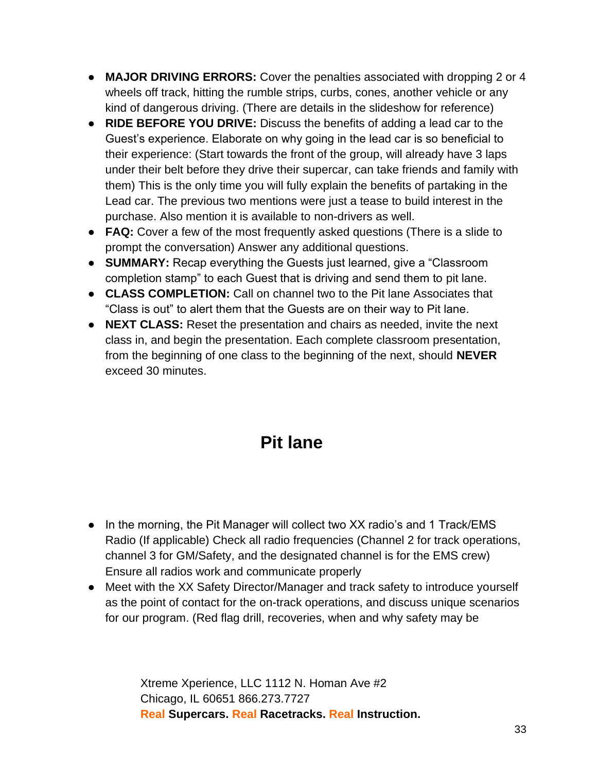- **MAJOR DRIVING ERRORS:** Cover the penalties associated with dropping 2 or 4 wheels off track, hitting the rumble strips, curbs, cones, another vehicle or any kind of dangerous driving. (There are details in the slideshow for reference)
- **RIDE BEFORE YOU DRIVE:** Discuss the benefits of adding a lead car to the Guest's experience. Elaborate on why going in the lead car is so beneficial to their experience: (Start towards the front of the group, will already have 3 laps under their belt before they drive their supercar, can take friends and family with them) This is the only time you will fully explain the benefits of partaking in the Lead car. The previous two mentions were just a tease to build interest in the purchase. Also mention it is available to non-drivers as well.
- **FAQ:** Cover a few of the most frequently asked questions (There is a slide to prompt the conversation) Answer any additional questions.
- **SUMMARY:** Recap everything the Guests just learned, give a "Classroom completion stamp" to each Guest that is driving and send them to pit lane.
- **CLASS COMPLETION:** Call on channel two to the Pit lane Associates that "Class is out" to alert them that the Guests are on their way to Pit lane.
- **NEXT CLASS:** Reset the presentation and chairs as needed, invite the next class in, and begin the presentation. Each complete classroom presentation, from the beginning of one class to the beginning of the next, should **NEVER**  exceed 30 minutes.

# **Pit lane**

- In the morning, the Pit Manager will collect two XX radio's and 1 Track/EMS Radio (If applicable) Check all radio frequencies (Channel 2 for track operations, channel 3 for GM/Safety, and the designated channel is for the EMS crew) Ensure all radios work and communicate properly
- Meet with the XX Safety Director/Manager and track safety to introduce yourself as the point of contact for the on-track operations, and discuss unique scenarios for our program. (Red flag drill, recoveries, when and why safety may be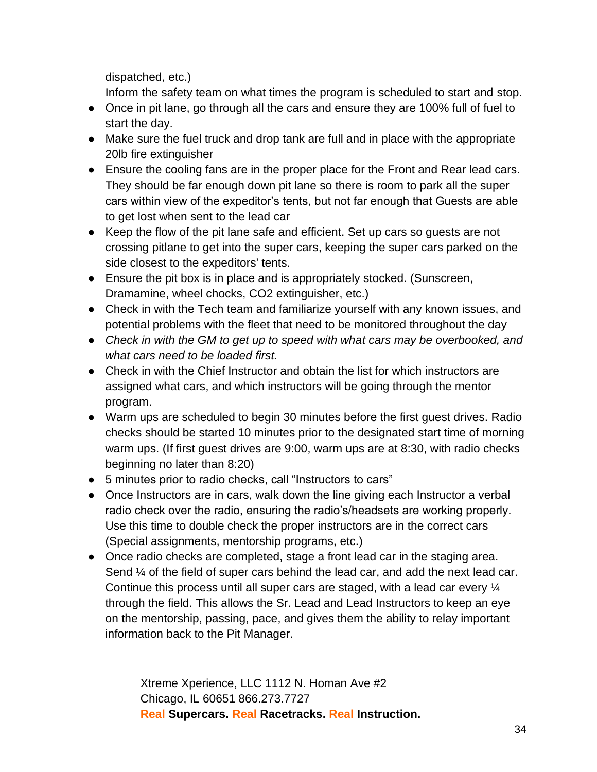dispatched, etc.)

Inform the safety team on what times the program is scheduled to start and stop.

- Once in pit lane, go through all the cars and ensure they are 100% full of fuel to start the day.
- Make sure the fuel truck and drop tank are full and in place with the appropriate 20lb fire extinguisher
- Ensure the cooling fans are in the proper place for the Front and Rear lead cars. They should be far enough down pit lane so there is room to park all the super cars within view of the expeditor's tents, but not far enough that Guests are able to get lost when sent to the lead car
- Keep the flow of the pit lane safe and efficient. Set up cars so guests are not crossing pitlane to get into the super cars, keeping the super cars parked on the side closest to the expeditors' tents.
- Ensure the pit box is in place and is appropriately stocked. (Sunscreen, Dramamine, wheel chocks, CO2 extinguisher, etc.)
- Check in with the Tech team and familiarize yourself with any known issues, and potential problems with the fleet that need to be monitored throughout the day
- *Check in with the GM to get up to speed with what cars may be overbooked, and what cars need to be loaded first.*
- Check in with the Chief Instructor and obtain the list for which instructors are assigned what cars, and which instructors will be going through the mentor program.
- Warm ups are scheduled to begin 30 minutes before the first guest drives. Radio checks should be started 10 minutes prior to the designated start time of morning warm ups. (If first guest drives are 9:00, warm ups are at 8:30, with radio checks beginning no later than 8:20)
- 5 minutes prior to radio checks, call "Instructors to cars"
- Once Instructors are in cars, walk down the line giving each Instructor a verbal radio check over the radio, ensuring the radio's/headsets are working properly. Use this time to double check the proper instructors are in the correct cars (Special assignments, mentorship programs, etc.)
- Once radio checks are completed, stage a front lead car in the staging area. Send ¼ of the field of super cars behind the lead car, and add the next lead car. Continue this process until all super cars are staged, with a lead car every ¼ through the field. This allows the Sr. Lead and Lead Instructors to keep an eye on the mentorship, passing, pace, and gives them the ability to relay important information back to the Pit Manager.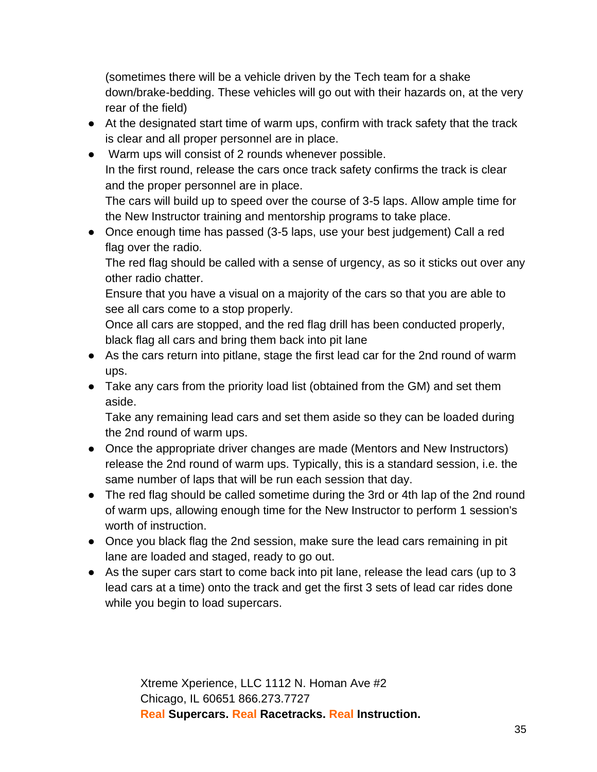(sometimes there will be a vehicle driven by the Tech team for a shake down/brake-bedding. These vehicles will go out with their hazards on, at the very rear of the field)

- At the designated start time of warm ups, confirm with track safety that the track is clear and all proper personnel are in place.
- Warm ups will consist of 2 rounds whenever possible. In the first round, release the cars once track safety confirms the track is clear and the proper personnel are in place. The cars will build up to speed over the course of 3-5 laps. Allow ample time for the New Instructor training and mentorship programs to take place.
- Once enough time has passed (3-5 laps, use your best judgement) Call a red flag over the radio.

The red flag should be called with a sense of urgency, as so it sticks out over any other radio chatter.

Ensure that you have a visual on a majority of the cars so that you are able to see all cars come to a stop properly.

Once all cars are stopped, and the red flag drill has been conducted properly, black flag all cars and bring them back into pit lane

- As the cars return into pitlane, stage the first lead car for the 2nd round of warm ups.
- Take any cars from the priority load list (obtained from the GM) and set them aside.

Take any remaining lead cars and set them aside so they can be loaded during the 2nd round of warm ups.

- Once the appropriate driver changes are made (Mentors and New Instructors) release the 2nd round of warm ups. Typically, this is a standard session, i.e. the same number of laps that will be run each session that day.
- The red flag should be called sometime during the 3rd or 4th lap of the 2nd round of warm ups, allowing enough time for the New Instructor to perform 1 session's worth of instruction.
- Once you black flag the 2nd session, make sure the lead cars remaining in pit lane are loaded and staged, ready to go out.
- As the super cars start to come back into pit lane, release the lead cars (up to 3 lead cars at a time) onto the track and get the first 3 sets of lead car rides done while you begin to load supercars.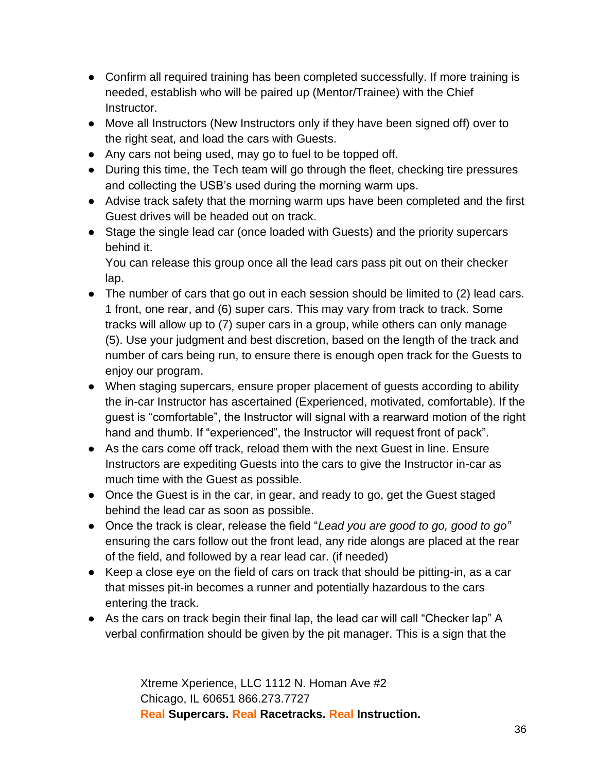- Confirm all required training has been completed successfully. If more training is needed, establish who will be paired up (Mentor/Trainee) with the Chief Instructor.
- Move all Instructors (New Instructors only if they have been signed off) over to the right seat, and load the cars with Guests.
- Any cars not being used, may go to fuel to be topped off.
- During this time, the Tech team will go through the fleet, checking tire pressures and collecting the USB's used during the morning warm ups.
- Advise track safety that the morning warm ups have been completed and the first Guest drives will be headed out on track.
- Stage the single lead car (once loaded with Guests) and the priority supercars behind it.

You can release this group once all the lead cars pass pit out on their checker lap.

- The number of cars that go out in each session should be limited to (2) lead cars. 1 front, one rear, and (6) super cars. This may vary from track to track. Some tracks will allow up to (7) super cars in a group, while others can only manage (5). Use your judgment and best discretion, based on the length of the track and number of cars being run, to ensure there is enough open track for the Guests to enjoy our program.
- When staging supercars, ensure proper placement of guests according to ability the in-car Instructor has ascertained (Experienced, motivated, comfortable). If the guest is "comfortable", the Instructor will signal with a rearward motion of the right hand and thumb. If "experienced", the Instructor will request front of pack".
- As the cars come off track, reload them with the next Guest in line. Ensure Instructors are expediting Guests into the cars to give the Instructor in-car as much time with the Guest as possible.
- Once the Guest is in the car, in gear, and ready to go, get the Guest staged behind the lead car as soon as possible.
- Once the track is clear, release the field "*Lead you are good to go, good to go"*  ensuring the cars follow out the front lead, any ride alongs are placed at the rear of the field, and followed by a rear lead car. (if needed)
- Keep a close eye on the field of cars on track that should be pitting-in, as a car that misses pit-in becomes a runner and potentially hazardous to the cars entering the track.
- As the cars on track begin their final lap, the lead car will call "Checker lap" A verbal confirmation should be given by the pit manager. This is a sign that the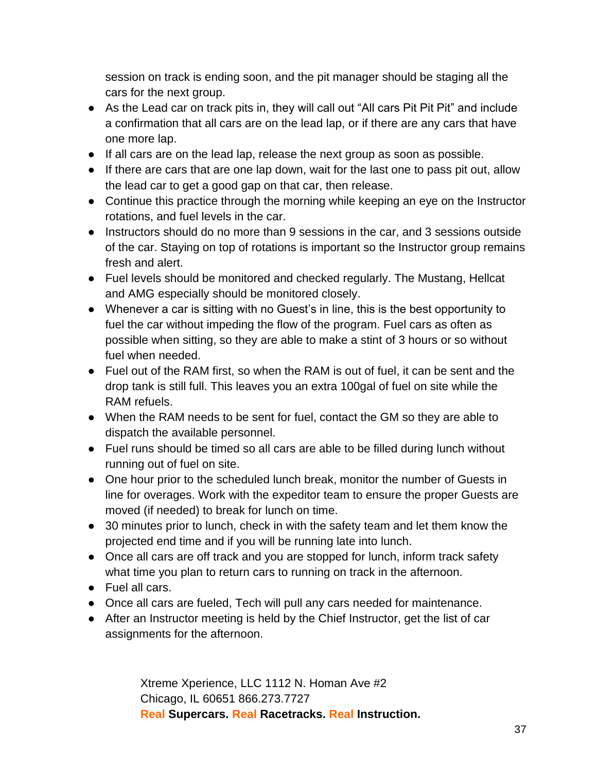session on track is ending soon, and the pit manager should be staging all the cars for the next group.

- As the Lead car on track pits in, they will call out "All cars Pit Pit Pit" and include a confirmation that all cars are on the lead lap, or if there are any cars that have one more lap.
- If all cars are on the lead lap, release the next group as soon as possible.
- If there are cars that are one lap down, wait for the last one to pass pit out, allow the lead car to get a good gap on that car, then release.
- Continue this practice through the morning while keeping an eye on the Instructor rotations, and fuel levels in the car.
- Instructors should do no more than 9 sessions in the car, and 3 sessions outside of the car. Staying on top of rotations is important so the Instructor group remains fresh and alert.
- Fuel levels should be monitored and checked regularly. The Mustang, Hellcat and AMG especially should be monitored closely.
- Whenever a car is sitting with no Guest's in line, this is the best opportunity to fuel the car without impeding the flow of the program. Fuel cars as often as possible when sitting, so they are able to make a stint of 3 hours or so without fuel when needed.
- Fuel out of the RAM first, so when the RAM is out of fuel, it can be sent and the drop tank is still full. This leaves you an extra 100gal of fuel on site while the RAM refuels.
- When the RAM needs to be sent for fuel, contact the GM so they are able to dispatch the available personnel.
- Fuel runs should be timed so all cars are able to be filled during lunch without running out of fuel on site.
- One hour prior to the scheduled lunch break, monitor the number of Guests in line for overages. Work with the expeditor team to ensure the proper Guests are moved (if needed) to break for lunch on time.
- 30 minutes prior to lunch, check in with the safety team and let them know the projected end time and if you will be running late into lunch.
- Once all cars are off track and you are stopped for lunch, inform track safety what time you plan to return cars to running on track in the afternoon.
- Fuel all cars.
- Once all cars are fueled, Tech will pull any cars needed for maintenance.
- After an Instructor meeting is held by the Chief Instructor, get the list of car assignments for the afternoon.